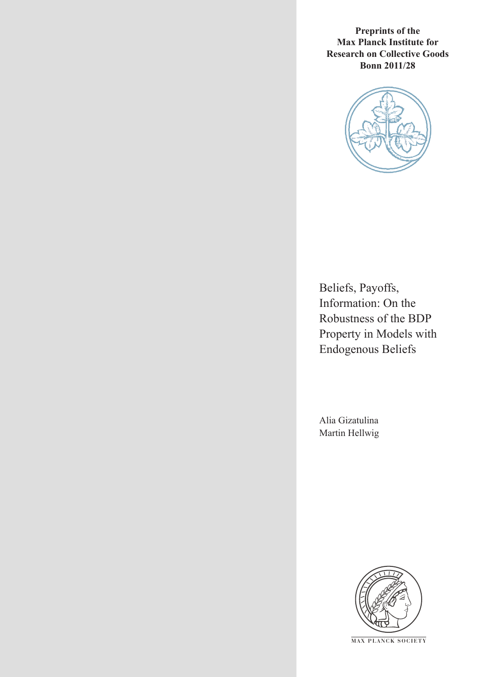**Preprints of the Max Planck Institute for Research on Collective Goods Bonn 2011/28**



Beliefs, Payoffs, Information: On the Robustness of the BDP Property in Models with Endogenous Beliefs

Alia Gizatulina Martin Hellwig



**M AX PLANCK SOCIETY**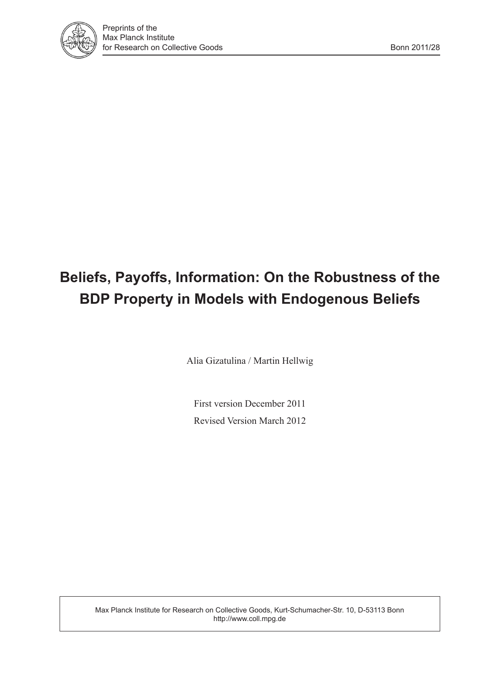

# **Beliefs, Payoffs, Information: On the Robustness of the BDP Property in Models with Endogenous Beliefs**

Alia Gizatulina / Martin Hellwig

First version December 2011 Revised Version March 2012

Max Planck Institute for Research on Collective Goods, Kurt-Schumacher-Str. 10, D-53113 Bonn http://www.coll.mpg.de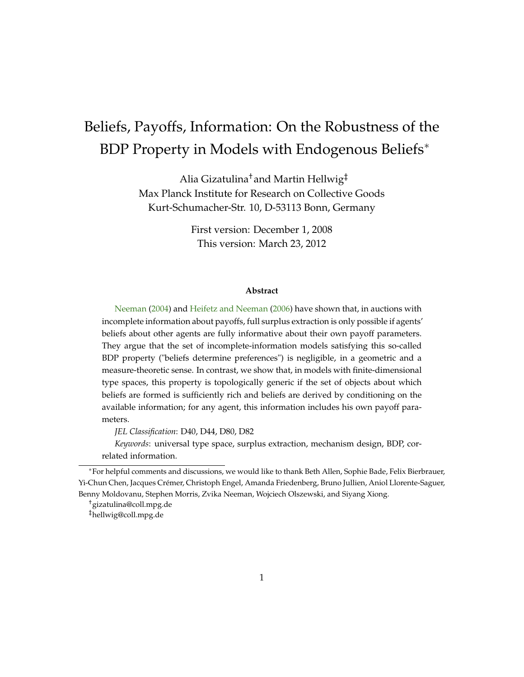## <span id="page-2-0"></span>Beliefs, Payoffs, Information: On the Robustness of the BDP Property in Models with Endogenous Beliefs\*

Alia Gizatulina† and Martin Hellwig‡ Max Planck Institute for Research on Collective Goods Kurt-Schumacher-Str. 10, D-53113 Bonn, Germany

> First version: December 1, 2008 This version: March 23, 2012

#### **Abstract**

[Neeman](#page-43-0) [\(2004\)](#page-43-0) and [Heifetz and Neeman](#page-42-0) [\(2006\)](#page-42-0) have shown that, in auctions with incomplete information about payoffs, full surplus extraction is only possible if agents' beliefs about other agents are fully informative about their own payoff parameters. They argue that the set of incomplete-information models satisfying this so-called BDP property ("beliefs determine preferences") is negligible, in a geometric and a measure-theoretic sense. In contrast, we show that, in models with finite-dimensional type spaces, this property is topologically generic if the set of objects about which beliefs are formed is sufficiently rich and beliefs are derived by conditioning on the available information; for any agent, this information includes his own payoff parameters.

*JEL Classification*: D40, D44, D80, D82

*Keywords*: universal type space, surplus extraction, mechanism design, BDP, correlated information.

For helpful comments and discussions, we would like to thank Beth Allen, Sophie Bade, Felix Bierbrauer, Yi-Chun Chen, Jacques Crémer, Christoph Engel, Amanda Friedenberg, Bruno Jullien, Aniol Llorente-Saguer, Benny Moldovanu, Stephen Morris, Zvika Neeman, Wojciech Olszewski, and Siyang Xiong.

<sup>†</sup>gizatulina@coll.mpg.de

<sup>‡</sup>hellwig@coll.mpg.de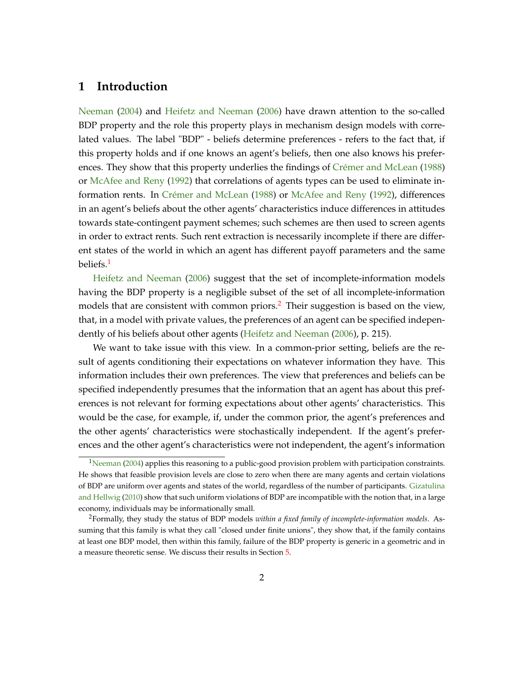## <span id="page-3-2"></span>**1 Introduction**

[Neeman](#page-43-0) [\(2004\)](#page-43-0) and [Heifetz and Neeman](#page-42-0) [\(2006\)](#page-42-0) have drawn attention to the so-called BDP property and the role this property plays in mechanism design models with correlated values. The label "BDP" - beliefs determine preferences - refers to the fact that, if this property holds and if one knows an agent's beliefs, then one also knows his preferences. They show that this property underlies the findings of [Crémer and McLean](#page-42-1) [\(1988\)](#page-42-1) or [McAfee and Reny](#page-43-1) [\(1992\)](#page-43-1) that correlations of agents types can be used to eliminate information rents. In [Crémer and McLean](#page-42-1) [\(1988\)](#page-42-1) or [McAfee and Reny](#page-43-1) [\(1992\)](#page-43-1), differences in an agent's beliefs about the other agents' characteristics induce differences in attitudes towards state-contingent payment schemes; such schemes are then used to screen agents in order to extract rents. Such rent extraction is necessarily incomplete if there are different states of the world in which an agent has different payoff parameters and the same beliefs.<sup>[1](#page-3-0)</sup>

[Heifetz and Neeman](#page-42-0) [\(2006\)](#page-42-0) suggest that the set of incomplete-information models having the BDP property is a negligible subset of the set of all incomplete-information models that are consistent with common priors.<sup>[2](#page-3-1)</sup> Their suggestion is based on the view, that, in a model with private values, the preferences of an agent can be specified indepen-dently of his beliefs about other agents [\(Heifetz and Neeman](#page-42-0) [\(2006\)](#page-42-0), p. 215).

We want to take issue with this view. In a common-prior setting, beliefs are the result of agents conditioning their expectations on whatever information they have. This information includes their own preferences. The view that preferences and beliefs can be specified independently presumes that the information that an agent has about this preferences is not relevant for forming expectations about other agents' characteristics. This would be the case, for example, if, under the common prior, the agent's preferences and the other agents' characteristics were stochastically independent. If the agent's preferences and the other agent's characteristics were not independent, the agent's information

<span id="page-3-0"></span><sup>&</sup>lt;sup>1</sup>[Neeman](#page-43-0) [\(2004\)](#page-43-0) applies this reasoning to a public-good provision problem with participation constraints. He shows that feasible provision levels are close to zero when there are many agents and certain violations of BDP are uniform over agents and states of the world, regardless of the number of participants. [Gizatulina](#page-42-2) [and Hellwig](#page-42-2) [\(2010\)](#page-42-2) show that such uniform violations of BDP are incompatible with the notion that, in a large economy, individuals may be informationally small.

<span id="page-3-1"></span><sup>2</sup>Formally, they study the status of BDP models *within a fixed family of incomplete-information models*. Assuming that this family is what they call "closed under finite unions", they show that, if the family contains at least one BDP model, then within this family, failure of the BDP property is generic in a geometric and in a measure theoretic sense. We discuss their results in Section [5.](#page-24-0)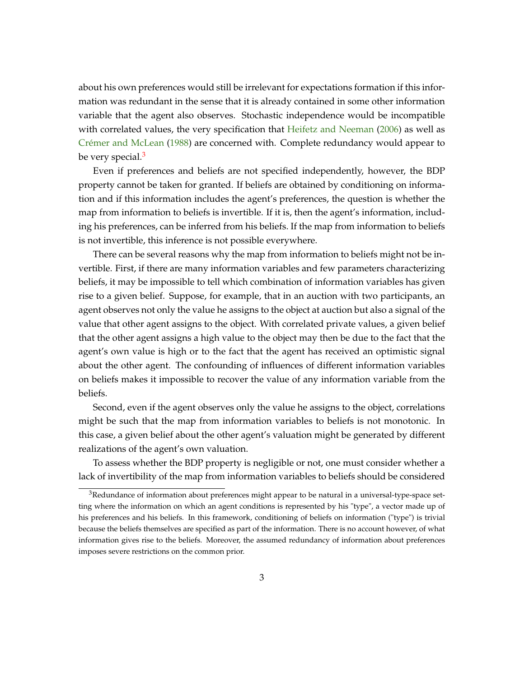<span id="page-4-1"></span>about his own preferences would still be irrelevant for expectations formation if this information was redundant in the sense that it is already contained in some other information variable that the agent also observes. Stochastic independence would be incompatible with correlated values, the very specification that [Heifetz and Neeman](#page-42-0) [\(2006\)](#page-42-0) as well as [Crémer and McLean](#page-42-1) [\(1988\)](#page-42-1) are concerned with. Complete redundancy would appear to be very special.<sup>[3](#page-4-0)</sup>

Even if preferences and beliefs are not specified independently, however, the BDP property cannot be taken for granted. If beliefs are obtained by conditioning on information and if this information includes the agent's preferences, the question is whether the map from information to beliefs is invertible. If it is, then the agent's information, including his preferences, can be inferred from his beliefs. If the map from information to beliefs is not invertible, this inference is not possible everywhere.

There can be several reasons why the map from information to beliefs might not be invertible. First, if there are many information variables and few parameters characterizing beliefs, it may be impossible to tell which combination of information variables has given rise to a given belief. Suppose, for example, that in an auction with two participants, an agent observes not only the value he assigns to the object at auction but also a signal of the value that other agent assigns to the object. With correlated private values, a given belief that the other agent assigns a high value to the object may then be due to the fact that the agent's own value is high or to the fact that the agent has received an optimistic signal about the other agent. The confounding of influences of different information variables on beliefs makes it impossible to recover the value of any information variable from the beliefs.

Second, even if the agent observes only the value he assigns to the object, correlations might be such that the map from information variables to beliefs is not monotonic. In this case, a given belief about the other agent's valuation might be generated by different realizations of the agent's own valuation.

To assess whether the BDP property is negligible or not, one must consider whether a lack of invertibility of the map from information variables to beliefs should be considered

<span id="page-4-0"></span><sup>&</sup>lt;sup>3</sup>Redundance of information about preferences might appear to be natural in a universal-type-space setting where the information on which an agent conditions is represented by his "type", a vector made up of his preferences and his beliefs. In this framework, conditioning of beliefs on information ("type") is trivial because the beliefs themselves are specified as part of the information. There is no account however, of what information gives rise to the beliefs. Moreover, the assumed redundancy of information about preferences imposes severe restrictions on the common prior.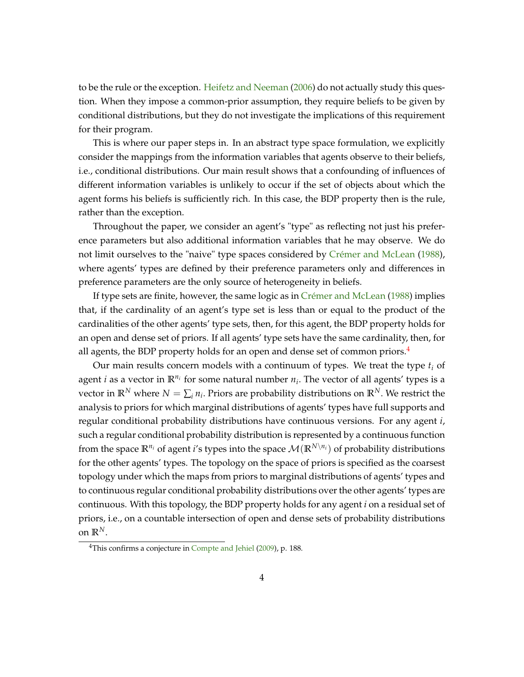<span id="page-5-1"></span>to be the rule or the exception. [Heifetz and Neeman](#page-42-0) [\(2006\)](#page-42-0) do not actually study this question. When they impose a common-prior assumption, they require beliefs to be given by conditional distributions, but they do not investigate the implications of this requirement for their program.

This is where our paper steps in. In an abstract type space formulation, we explicitly consider the mappings from the information variables that agents observe to their beliefs, i.e., conditional distributions. Our main result shows that a confounding of influences of different information variables is unlikely to occur if the set of objects about which the agent forms his beliefs is sufficiently rich. In this case, the BDP property then is the rule, rather than the exception.

Throughout the paper, we consider an agent's "type" as reflecting not just his preference parameters but also additional information variables that he may observe. We do not limit ourselves to the "naive" type spaces considered by [Crémer and McLean](#page-42-1) [\(1988\)](#page-42-1), where agents' types are defined by their preference parameters only and differences in preference parameters are the only source of heterogeneity in beliefs.

If type sets are finite, however, the same logic as in [Crémer and McLean](#page-42-1) [\(1988\)](#page-42-1) implies that, if the cardinality of an agent's type set is less than or equal to the product of the cardinalities of the other agents' type sets, then, for this agent, the BDP property holds for an open and dense set of priors. If all agents' type sets have the same cardinality, then, for all agents, the BDP property holds for an open and dense set of common priors.<sup>[4](#page-5-0)</sup>

Our main results concern models with a continuum of types. We treat the type *t<sup>i</sup>* of agent *i* as a vector in **R***n<sup>i</sup>* for some natural number *n<sup>i</sup>* . The vector of all agents' types is a vector in  $\mathbb{R}^N$  where  $N = \sum_i n_i$ . Priors are probability distributions on  $\mathbb{R}^N$ . We restrict the analysis to priors for which marginal distributions of agents' types have full supports and regular conditional probability distributions have continuous versions. For any agent *i*, such a regular conditional probability distribution is represented by a continuous function from the space  $\mathbb{R}^{n_i}$  of agent *i*'s types into the space  $\mathcal{M}(\mathbb{R}^{N\setminus n_i})$  of probability distributions for the other agents' types. The topology on the space of priors is specified as the coarsest topology under which the maps from priors to marginal distributions of agents' types and to continuous regular conditional probability distributions over the other agents' types are continuous. With this topology, the BDP property holds for any agent *i* on a residual set of priors, i.e., on a countable intersection of open and dense sets of probability distributions on  $\mathbb{R}^N$ .

<span id="page-5-0"></span><sup>&</sup>lt;sup>4</sup>This confirms a conjecture in [Compte and Jehiel](#page-42-3) [\(2009\)](#page-42-3), p. 188.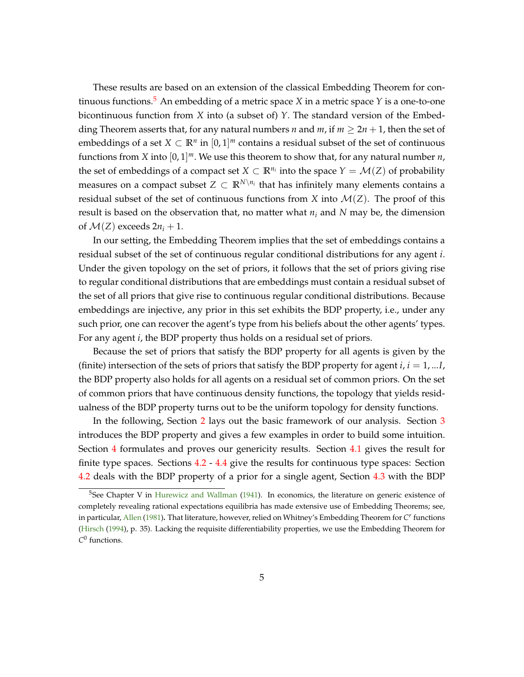<span id="page-6-1"></span>These results are based on an extension of the classical Embedding Theorem for con-tinuous functions.<sup>[5](#page-6-0)</sup> An embedding of a metric space *X* in a metric space *Y* is a one-to-one bicontinuous function from *X* into (a subset of) *Y*. The standard version of the Embedding Theorem asserts that, for any natural numbers *n* and *m*, if  $m \geq 2n + 1$ , then the set of embeddings of a set  $X \subset \mathbb{R}^n$  in  $[0, 1]^m$  contains a residual subset of the set of continuous functions from *X* into [0, 1] *<sup>m</sup>*. We use this theorem to show that, for any natural number *n*, the set of embeddings of a compact set  $X \subset \mathbb{R}^{n_i}$  into the space  $Y = \mathcal{M}(Z)$  of probability measures on a compact subset  $Z \subset \mathbb{R}^{N \setminus n_i}$  that has infinitely many elements contains a residual subset of the set of continuous functions from *X* into  $\mathcal{M}(Z)$ . The proof of this result is based on the observation that, no matter what *n<sup>i</sup>* and *N* may be, the dimension of  $\mathcal{M}(Z)$  exceeds  $2n_i + 1$ .

In our setting, the Embedding Theorem implies that the set of embeddings contains a residual subset of the set of continuous regular conditional distributions for any agent *i*. Under the given topology on the set of priors, it follows that the set of priors giving rise to regular conditional distributions that are embeddings must contain a residual subset of the set of all priors that give rise to continuous regular conditional distributions. Because embeddings are injective, any prior in this set exhibits the BDP property, i.e., under any such prior, one can recover the agent's type from his beliefs about the other agents' types. For any agent *i*, the BDP property thus holds on a residual set of priors.

Because the set of priors that satisfy the BDP property for all agents is given by the (finite) intersection of the sets of priors that satisfy the BDP property for agent  $i, i = 1, \dots, I$ the BDP property also holds for all agents on a residual set of common priors. On the set of common priors that have continuous density functions, the topology that yields residualness of the BDP property turns out to be the uniform topology for density functions.

In the following, Section [2](#page-7-0) lays out the basic framework of our analysis. Section [3](#page-10-0) introduces the BDP property and gives a few examples in order to build some intuition. Section [4](#page-16-0) formulates and proves our genericity results. Section [4.1](#page-16-1) gives the result for finite type spaces. Sections [4.2](#page-17-0) - [4.4](#page-21-0) give the results for continuous type spaces: Section [4.2](#page-17-0) deals with the BDP property of a prior for a single agent, Section [4.3](#page-20-0) with the BDP

<span id="page-6-0"></span> $5$ See Chapter V in [Hurewicz and Wallman](#page-42-4) [\(1941\)](#page-42-4). In economics, the literature on generic existence of completely revealing rational expectations equilibria has made extensive use of Embedding Theorems; see, in particular, [Allen](#page-41-0) [\(1981\)](#page-41-0)**.** That literature, however, relied on Whitney's Embedding Theorem for *C r* functions [\(Hirsch](#page-42-5) [\(1994\)](#page-42-5), p. 35). Lacking the requisite differentiability properties, we use the Embedding Theorem for *C* 0 functions.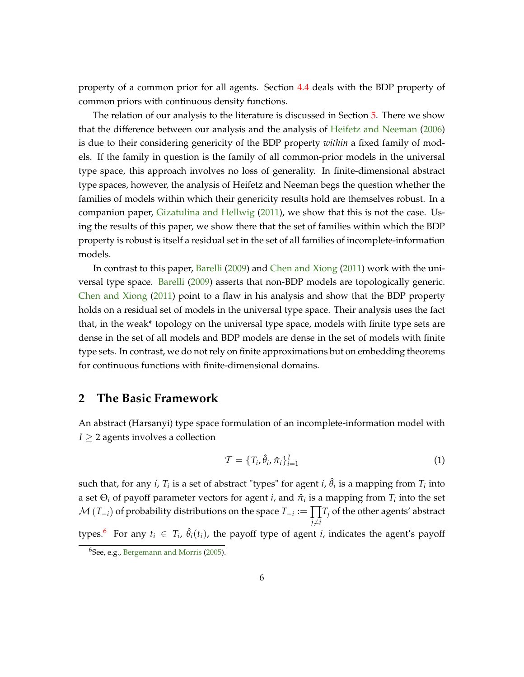<span id="page-7-3"></span>property of a common prior for all agents. Section [4.4](#page-21-0) deals with the BDP property of common priors with continuous density functions.

The relation of our analysis to the literature is discussed in Section [5.](#page-24-0) There we show that the difference between our analysis and the analysis of [Heifetz and Neeman](#page-42-0) [\(2006\)](#page-42-0) is due to their considering genericity of the BDP property *within* a fixed family of models. If the family in question is the family of all common-prior models in the universal type space, this approach involves no loss of generality. In finite-dimensional abstract type spaces, however, the analysis of Heifetz and Neeman begs the question whether the families of models within which their genericity results hold are themselves robust. In a companion paper, [Gizatulina and Hellwig](#page-42-6) [\(2011\)](#page-42-6), we show that this is not the case. Using the results of this paper, we show there that the set of families within which the BDP property is robust is itself a residual set in the set of all families of incomplete-information models.

In contrast to this paper, [Barelli](#page-42-7) [\(2009\)](#page-42-7) and [Chen and Xiong](#page-42-8) [\(2011\)](#page-42-8) work with the universal type space. [Barelli](#page-42-7) [\(2009\)](#page-42-7) asserts that non-BDP models are topologically generic. [Chen and Xiong](#page-42-8) [\(2011\)](#page-42-8) point to a flaw in his analysis and show that the BDP property holds on a residual set of models in the universal type space. Their analysis uses the fact that, in the weak\* topology on the universal type space, models with finite type sets are dense in the set of all models and BDP models are dense in the set of models with finite type sets. In contrast, we do not rely on finite approximations but on embedding theorems for continuous functions with finite-dimensional domains.

## <span id="page-7-0"></span>**2 The Basic Framework**

An abstract (Harsanyi) type space formulation of an incomplete-information model with  $I \geq 2$  agents involves a collection

<span id="page-7-2"></span>
$$
\mathcal{T} = \{T_i, \hat{\theta}_i, \hat{\pi}_i\}_{i=1}^I
$$
\n(1)

such that, for any *i*,  $T_i$  is a set of abstract "types" for agent *i*,  $\hat{\theta}_i$  is a mapping from  $T_i$  into a set  $\Theta_i$  of payoff parameter vectors for agent *i*, and  $\hat{\pi}_i$  is a mapping from  $T_i$  into the set  $\mathcal{M}\left(T_{-i}\right)$  of probability distributions on the space  $T_{-i}:=\prod_{i}T_{j}$  of the other agents' abstract  $j \neq i$ types.<sup>[6](#page-7-1)</sup> For any  $t_i \in T_i$ ,  $\hat{\theta}_i(t_i)$ , the payoff type of agent *i*, indicates the agent's payoff

<span id="page-7-1"></span><sup>6</sup>See, e.g., [Bergemann and Morris](#page-42-9) [\(2005\)](#page-42-9).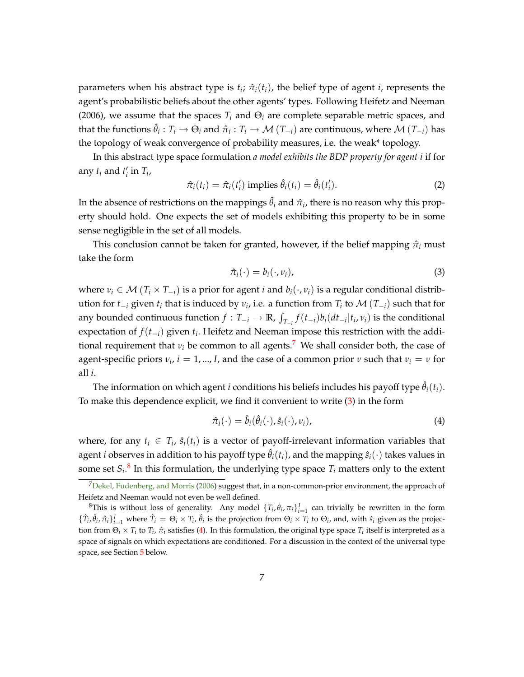<span id="page-8-5"></span>parameters when his abstract type is  $t_i$ ;  $\hat{\pi}_i(t_i)$ , the belief type of agent *i*, represents the agent's probabilistic beliefs about the other agents' types. Following Heifetz and Neeman (2006), we assume that the spaces  $T_i$  and  $\Theta_i$  are complete separable metric spaces, and that the functions  $\hat{\theta}_i: T_i \to \Theta_i$  and  $\hat{\pi}_i: T_i \to \mathcal{M}(T_{-i})$  are continuous, where  $\mathcal{M}(T_{-i})$  has the topology of weak convergence of probability measures, i.e. the weak\* topology.

In this abstract type space formulation *a model exhibits the BDP property for agent i* if for any  $t_i$  and  $t'_i$  in  $T_i$ ,

<span id="page-8-4"></span>
$$
\hat{\pi}_i(t_i) = \hat{\pi}_i(t'_i) \text{ implies } \hat{\theta}_i(t_i) = \hat{\theta}_i(t'_i). \tag{2}
$$

In the absence of restrictions on the mappings  $\hat{\theta}_i$  and  $\hat{\pi}_i$ , there is no reason why this property should hold. One expects the set of models exhibiting this property to be in some sense negligible in the set of all models.

This conclusion cannot be taken for granted, however, if the belief mapping  $\hat{\pi}_i$  must take the form

<span id="page-8-1"></span>
$$
\hat{\pi}_i(\cdot) = b_i(\cdot, \nu_i),\tag{3}
$$

where  $v_i \in M(T_i \times T_{-i})$  is a prior for agent *i* and  $b_i(\cdot, v_i)$  is a regular conditional distribution for  $t_{-i}$  given  $t_i$  that is induced by  $v_i$ , i.e. a function from  $T_i$  to  $\mathcal{M}(T_{-i})$  such that for any bounded continuous function  $f: T_{-i} \to \mathbb{R}$ ,  $\int$  $T_{i} f(t_{-i}) b_i(dt_{-i}|t_i, v_i)$  is the conditional expectation of  $f(t_{-i})$  given  $t_i$ . Heifetz and Neeman impose this restriction with the additional requirement that  $v_i$  be common to all agents.<sup>[7](#page-8-0)</sup> We shall consider both, the case of agent-specific priors  $v_i$ ,  $i = 1, ..., I$ , and the case of a common prior  $v$  such that  $v_i = v$  for all *i*.

The information on which agent *i* conditions his beliefs includes his payoff type  $\hat{\theta}_i(t_i)$ . To make this dependence explicit, we find it convenient to write [\(3\)](#page-8-1) in the form

<span id="page-8-3"></span>
$$
\hat{\pi}_i(\cdot) = \hat{b}_i(\hat{\theta}_i(\cdot), \hat{s}_i(\cdot), \nu_i), \tag{4}
$$

where, for any  $t_i \in T_i$ ,  $\hat{s}_i(t_i)$  is a vector of payoff-irrelevant information variables that agent *i* observes in addition to his payoff type  $\hat{\theta}_i(t_i)$ , and the mapping  $\hat{s}_i(\cdot)$  takes values in some set  $S_i$ .<sup>[8](#page-8-2)</sup> In this formulation, the underlying type space  $T_i$  matters only to the extent

<span id="page-8-0"></span> $7$ [Dekel, Fudenberg, and Morris](#page-42-10) [\(2006\)](#page-42-10) suggest that, in a non-common-prior environment, the approach of Heifetz and Neeman would not even be well defined.

<span id="page-8-2"></span><sup>&</sup>lt;sup>8</sup>This is without loss of generality. Any model  $\{T_i, \theta_i, \pi_i\}_{i=1}^I$  can trivially be rewritten in the form  $\{\hat{T}_i, \hat{\theta}_i, \hat{\pi}_i\}_{i=1}^I$  where  $\hat{T}_i = \Theta_i \times T_i$ ,  $\hat{\theta}_i$  is the projection from  $\Theta_i \times T_i$  to  $\Theta_i$ , and, with  $\hat{s}_i$  given as the projection from  $\Theta_i \times T_i$  to  $T_i$ ,  $\hat{\pi}_i$  satisfies [\(4\)](#page-8-3). In this formulation, the original type space  $T_i$  itself is interpreted as a space of signals on which expectations are conditioned. For a discussion in the context of the universal type space, see Section [5](#page-24-0) below.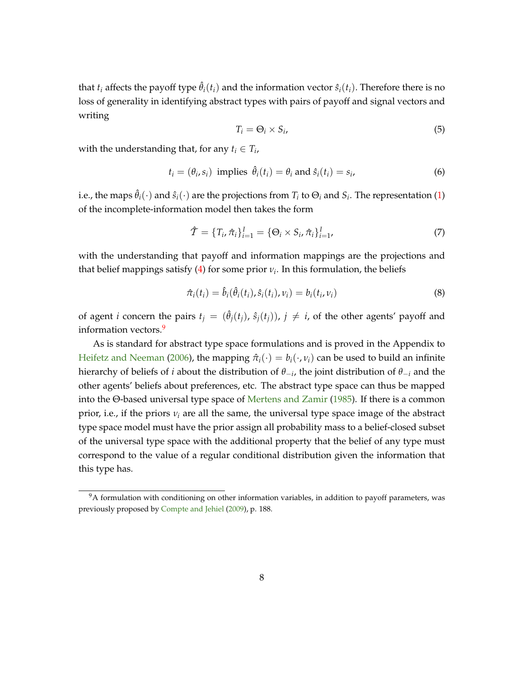<span id="page-9-1"></span>that  $t_i$  affects the payoff type  $\hat{\theta}_i(t_i)$  and the information vector  $\hat{s}_i(t_i)$ . Therefore there is no loss of generality in identifying abstract types with pairs of payoff and signal vectors and writing

$$
T_i = \Theta_i \times S_i,\tag{5}
$$

with the understanding that, for any  $t_i \in T_i$ ,

$$
t_i = (\theta_i, s_i) \text{ implies } \hat{\theta}_i(t_i) = \theta_i \text{ and } \hat{s}_i(t_i) = s_i,
$$
\n
$$
(6)
$$

i.e., the maps  $\hat{\theta}_i(\cdot)$  and  $\hat{s}_i(\cdot)$  are the projections from  $T_i$  to  $\Theta_i$  and  $S_i$ . The representation [\(1\)](#page-7-2) of the incomplete-information model then takes the form

$$
\hat{\mathcal{T}} = \{T_i, \hat{\pi}_i\}_{i=1}^I = \{\Theta_i \times S_i, \hat{\pi}_i\}_{i=1}^I,
$$
\n(7)

with the understanding that payoff and information mappings are the projections and that belief mappings satisfy  $(4)$  for some prior  $v_i$ . In this formulation, the beliefs

$$
\hat{\pi}_i(t_i) = \hat{b}_i(\hat{\theta}_i(t_i), \hat{s}_i(t_i), \nu_i) = b_i(t_i, \nu_i)
$$
\n(8)

of agent *i* concern the pairs  $t_i = (\hat{\theta}_i(t_i), \hat{s}_i(t_i))$ ,  $j \neq i$ , of the other agents' payoff and information vectors.<sup>[9](#page-9-0)</sup>

As is standard for abstract type space formulations and is proved in the Appendix to [Heifetz and Neeman](#page-42-0) [\(2006\)](#page-42-0), the mapping  $\hat{\pi}_i(\cdot) = b_i(\cdot, v_i)$  can be used to build an infinite hierarchy of beliefs of *i* about the distribution of  $\theta_{-i}$ , the joint distribution of  $\theta_{-i}$  and the other agents' beliefs about preferences, etc. The abstract type space can thus be mapped into the Θ-based universal type space of [Mertens and Zamir](#page-43-2) [\(1985\)](#page-43-2). If there is a common prior, i.e., if the priors  $v_i$  are all the same, the universal type space image of the abstract type space model must have the prior assign all probability mass to a belief-closed subset of the universal type space with the additional property that the belief of any type must correspond to the value of a regular conditional distribution given the information that this type has.

<span id="page-9-0"></span><sup>&</sup>lt;sup>9</sup>A formulation with conditioning on other information variables, in addition to payoff parameters, was previously proposed by [Compte and Jehiel](#page-42-3) [\(2009\)](#page-42-3), p. 188.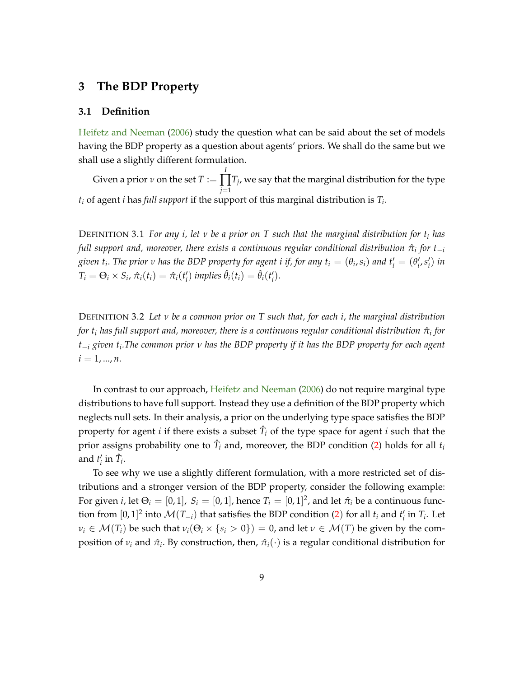## <span id="page-10-3"></span><span id="page-10-0"></span>**3 The BDP Property**

#### <span id="page-10-2"></span>**3.1 Definition**

[Heifetz and Neeman](#page-42-0) [\(2006\)](#page-42-0) study the question what can be said about the set of models having the BDP property as a question about agents' priors. We shall do the same but we shall use a slightly different formulation.

Given a prior *ν* on the set *T* := *I* ∏ *j*=1 *Tj* , we say that the marginal distribution for the type *t<sup>i</sup>* of agent *i* has *full support* if the support of this marginal distribution is *T<sup>i</sup>* .

<span id="page-10-1"></span>DEFINITION 3.1 *For any i, let ν be a prior on T such that the marginal distribution for t<sup>i</sup> has*  $f$ ull support and, moreover, there exists a continuous regular conditional distribution  $\hat{\pi}_i$  for  $t_{-i}$ given  $t_i$ . The prior  $v$  has the BDP property for agent  $i$  if, for any  $t_i=(\theta_i,s_i)$  and  $t'_i=(\theta'_i,s'_i)$  in  $T_i = \Theta_i \times S_i$ ,  $\hat{\pi}_i(t_i) = \hat{\pi}_i(t_i')$  implies  $\hat{\theta}_i(t_i) = \hat{\theta}_i(t_i')$ .

DEFINITION 3.2 *Let ν be a common prior on T such that, for each i*, *the marginal distribution for t<sup>i</sup> has full support and, moreover, there is a continuous regular conditional distribution π*ˆ*<sup>i</sup> for t<sup>i</sup> given t<sup>i</sup> .The common prior ν has the BDP property if it has the BDP property for each agent*  $i = 1, ..., n$ .

In contrast to our approach, [Heifetz and Neeman](#page-42-0) [\(2006\)](#page-42-0) do not require marginal type distributions to have full support. Instead they use a definition of the BDP property which neglects null sets. In their analysis, a prior on the underlying type space satisfies the BDP property for agent *i* if there exists a subset  $\hat{T}_i$  of the type space for agent *i* such that the prior assigns probability one to  $\hat{T}_i$  and, moreover, the BDP condition [\(2\)](#page-8-4) holds for all  $t_i$ and  $t'_i$  in  $\hat{T}_i$ .

To see why we use a slightly different formulation, with a more restricted set of distributions and a stronger version of the BDP property, consider the following example: For given *i*, let  $\Theta_i = [0,1]$ ,  $S_i = [0,1]$ , hence  $T_i = [0,1]^2$ , and let  $\hat{\pi}_i$  be a continuous function from  $[0,1]^2$  into  $\mathcal{M}(T_{-i})$  that satisfies the BDP condition [\(2](#page-8-4)) for all  $t_i$  and  $t'_i$  in  $T_i$ . Let  $\nu_i \in \mathcal{M}(T_i)$  be such that  $\nu_i(\Theta_i \times \{s_i > 0\}) = 0$ , and let  $\nu \in \mathcal{M}(T)$  be given by the composition of  $v_i$  and  $\hat{\pi}_i$ . By construction, then,  $\hat{\pi}_i(\cdot)$  is a regular conditional distribution for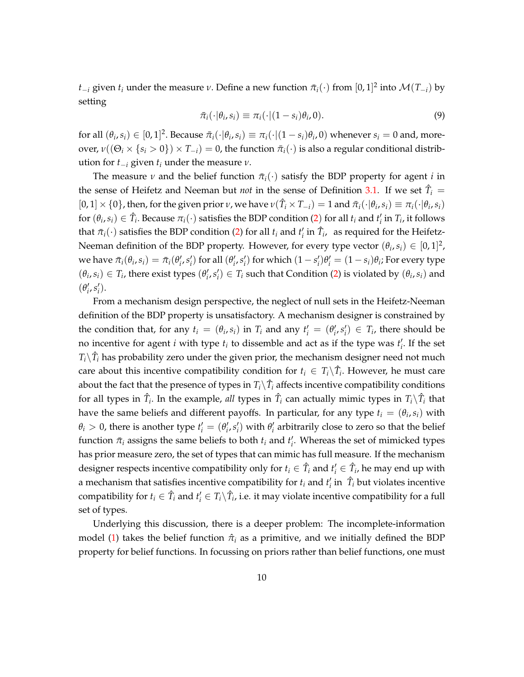*t*<sub>*i*</sub> given *t*<sub>*i*</sub> under the measure *ν*. Define a new function  $\bar{\pi}_i(\cdot)$  from  $[0, 1]^2$  into  $\mathcal{M}(T_{-i})$  by setting

$$
\bar{\pi}_i(\cdot|\theta_i,s_i) \equiv \pi_i(\cdot|(1-s_i)\theta_i,0). \tag{9}
$$

for all  $(\theta_i, s_i) \in [0, 1]^2$ . Because  $\bar{\pi}_i(\cdot | \theta_i, s_i) \equiv \pi_i(\cdot | (1 - s_i) \theta_i, 0)$  whenever  $s_i = 0$  and, more- $\text{over}$ ,  $\nu((\Theta_i \times \{s_i > 0\}) \times T_{-i}) = 0$ , the function  $\bar{\pi}_i(\cdot)$  is also a regular conditional distribution for  $t_{-i}$  given  $t_i$  under the measure  $\nu$ .

The measure *v* and the belief function  $\bar{\pi}_i(\cdot)$  satisfy the BDP property for agent *i* in the sense of Heifetz and Neeman but *not* in the sense of Definition [3.1.](#page-10-1) If we set  $\hat{T}_i$  =  $[0, 1] \times \{0\}$ , then, for the given prior *ν*, we have  $\nu(\hat{T}_i \times T_{-i}) = 1$  and  $\bar{\pi}_i(\cdot | \theta_i, s_i) \equiv \pi_i(\cdot | \theta_i, s_i)$ for  $(\theta_i, s_i) \in \hat{T}_i$ . Because  $\pi_i(\cdot)$  satisfies the BDP condition [\(2](#page-8-4)) for all  $t_i$  and  $t'_i$  in  $T_i$ , it follows that  $\bar{\pi}_i(\cdot)$  satisfies the BDP condition [\(2\)](#page-8-4) for all  $t_i$  and  $t'_i$  in  $\hat{T}_i$ , as required for the Heifetz-Neeman definition of the BDP property. However, for every type vector  $(\theta_i, s_i) \in [0, 1]^2$ , we have  $\bar{\pi}_i(\theta_i,s_i)=\bar{\pi}_i(\theta'_i,s'_i)$  for all  $(\theta'_i,s'_i)$  for which  $(1-s'_i)\theta'_i=(1-s_i)\theta_i$ ; For every type  $(\theta_i, s_i) \in T_i$ , there exist types  $(\theta'_i, s'_i) \in T_i$  such that Condition [\(2\)](#page-8-4) is violated by  $(\theta_i, s_i)$  and  $(\theta'_i, s'_i)$ .

From a mechanism design perspective, the neglect of null sets in the Heifetz-Neeman definition of the BDP property is unsatisfactory. A mechanism designer is constrained by the condition that, for any  $t_i = (\theta_i, s_i)$  in  $T_i$  and any  $t'_i = (\theta'_i, s'_i) \in T_i$ , there should be no incentive for agent *i* with type  $t_i$  to dissemble and act as if the type was  $t'_i$ . If the set  $T_i \backslash \hat{T}_i$  has probability zero under the given prior, the mechanism designer need not much care about this incentive compatibility condition for  $t_i \in T_i \backslash \hat{T}_i$ . However, he must care about the fact that the presence of types in  $T_i \backslash \hat{T}_i$  affects incentive compatibility conditions for all types in  $\hat{T}_i$ . In the example, *all* types in  $\hat{T}_i$  can actually mimic types in  $T_i \backslash \hat{T}_i$  that have the same beliefs and different payoffs. In particular, for any type  $t_i = (\theta_i, s_i)$  with  $\theta_i > 0$ , there is another type  $t'_i = (\theta'_i, s'_i)$  with  $\theta'_i$  arbitrarily close to zero so that the belief function  $\bar{\pi}_i$  assigns the same beliefs to both  $t_i$  and  $t'_i$ . Whereas the set of mimicked types has prior measure zero, the set of types that can mimic has full measure. If the mechanism designer respects incentive compatibility only for  $t_i \in \hat{T}_i$  and  $t'_i \in \hat{T}_i$ , he may end up with a mechanism that satisfies incentive compatibility for  $t_i$  and  $t'_i$  in  $\hat{T}_i$  but violates incentive compatibility for  $t_i \in \hat{T}_i$  and  $t'_i \in T_i \backslash \hat{T}_i$ , i.e. it may violate incentive compatibility for a full set of types.

Underlying this discussion, there is a deeper problem: The incomplete-information model [\(1\)](#page-7-2) takes the belief function  $\hat{\pi}_i$  as a primitive, and we initially defined the BDP property for belief functions. In focussing on priors rather than belief functions, one must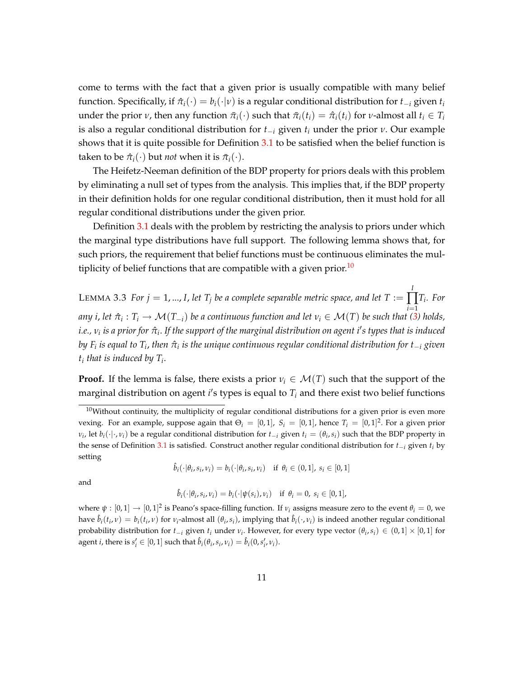come to terms with the fact that a given prior is usually compatible with many belief function. Specifically, if  $\hat{\pi}_i(\cdot) = b_i(\cdot|\nu)$  is a regular conditional distribution for  $t_{-i}$  given  $t_i$ under the prior *ν*, then any function  $\bar{\pi}_i(\cdot)$  such that  $\bar{\pi}_i(t_i) = \hat{\pi}_i(t_i)$  for *ν*-almost all  $t_i \in T_i$ is also a regular conditional distribution for  $t_{-i}$  given  $t_i$  under the prior  $\nu$ . Our example shows that it is quite possible for Definition [3.1](#page-10-1) to be satisfied when the belief function is taken to be  $\hat{\pi}_i(\cdot)$  but *not* when it is  $\bar{\pi}_i(\cdot)$ .

The Heifetz-Neeman definition of the BDP property for priors deals with this problem by eliminating a null set of types from the analysis. This implies that, if the BDP property in their definition holds for one regular conditional distribution, then it must hold for all regular conditional distributions under the given prior.

Definition [3.1](#page-10-1) deals with the problem by restricting the analysis to priors under which the marginal type distributions have full support. The following lemma shows that, for such priors, the requirement that belief functions must be continuous eliminates the mul-tiplicity of belief functions that are compatible with a given prior.<sup>[10](#page-12-0)</sup>

<span id="page-12-1"></span>LEMMA 3.3 *For*  $j = 1, ..., I$ *, let*  $T_j$  *be a complete separable metric space, and let T := I* ∏ *Ti . For i*=1  $a$ ny *i*, let  $\hat{\pi}_i: T_i \to \mathcal{M}(T_{-i})$  be a continuous function and let  $v_i \in \mathcal{M}(T)$  be such that [\(3\)](#page-8-1) holds, *i.e., ν<sup>i</sup> is a prior for π*ˆ*<sup>i</sup>* . *If the support of the marginal distribution on agent i*0 *s types that is induced* by F<sub>i</sub> is equal to T<sub>i</sub>, then  $\hat{\pi}_i$  is the unique continuous regular conditional distribution for t $_{-i}$  given *ti that is induced by T<sup>i</sup>* .

**Proof.** If the lemma is false, there exists a prior  $v_i \in \mathcal{M}(T)$  such that the support of the marginal distribution on agent  $i'$ s types is equal to  $T_i$  and there exist two belief functions

$$
\hat{b}_i(\cdot|\theta_i,s_i,\nu_i)=b_i(\cdot|\theta_i,s_i,\nu_i) \quad \text{if } \theta_i\in(0,1], s_i\in[0,1]
$$

and

$$
\hat{b}_i(\cdot|\theta_i,s_i,\nu_i)=b_i(\cdot|\psi(s_i),\nu_i)\quad\text{if }\theta_i=0,\ s_i\in[0,1],
$$

where  $\psi : [0,1] \to [0,1]^2$  is Peano's space-filling function. If  $\nu_i$  assigns measure zero to the event  $\theta_i = 0$ , we have  $\hat{b}_i(t_i,\nu)=b_i(t_i,\nu)$  for  $\nu_i$ -almost all  $(\theta_i,s_i)$ , implying that  $\hat{b}_i(\cdot,\nu_i)$  is indeed another regular conditional probability distribution for  $t_{-i}$  given  $t_i$  under  $v_i$ . However, for every type vector  $(\theta_i, s_i) \in (0, 1] \times [0, 1]$  for agent *i*, there is  $s'_i \in [0, 1]$  such that  $\hat{b}_i(\theta_i, s_i, v_i) = \hat{b}_i(0, s'_i, v_i)$ .

<span id="page-12-0"></span> $10$ Without continuity, the multiplicity of regular conditional distributions for a given prior is even more vexing. For an example, suppose again that  $\Theta_i = [0,1]$ ,  $S_i = [0,1]$ , hence  $T_i = [0,1]^2$ . For a given prior *v*<sub>*i*</sub>, let *b*<sub>*i*</sub>(·|·,*v*<sub>*i*</sub>) be a regular conditional distribution for  $t_{-i}$  given  $t_i = (\theta_i, s_i)$  such that the BDP property in the sense of Definition [3.1](#page-10-1) is satisfied. Construct another regular conditional distribution for  $t_i$  given  $t_i$  by setting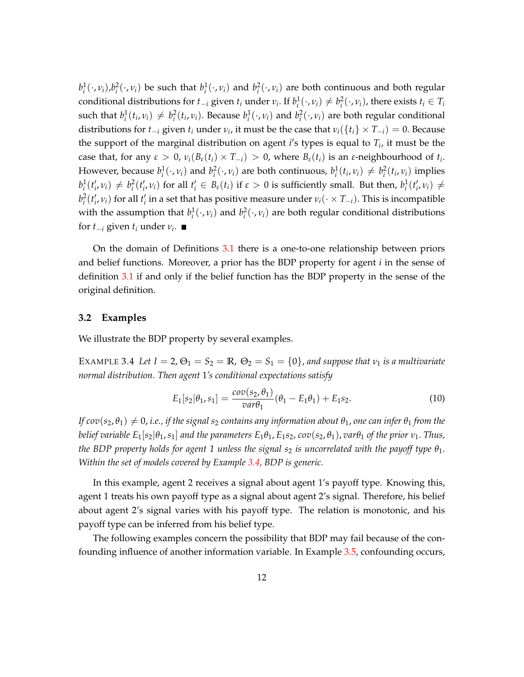$b_i^1(\cdot, v_i)$ , $b_i^2(\cdot, v_i)$  be such that  $b_i^1(\cdot, v_i)$  and  $b_i^2(\cdot, v_i)$  are both continuous and both regular conditional distributions for  $t_{-i}$  given  $t_i$  under  $v_i$ . If  $b_i^1(\cdot,v_i) \neq b_i^2(\cdot,v_i)$ , there exists  $t_i \in T_i$ such that  $b_i^1(t_i,v_i) \neq b_i^2(t_i,v_i)$ . Because  $b_i^1(\cdot,v_i)$  and  $b_i^2(\cdot,v_i)$  are both regular conditional distributions for  $t_{-i}$  given  $t_i$  under  $v_i$ , it must be the case that  $v_i(\lbrace t_i \rbrace \times T_{-i}) = 0$ . Because the support of the marginal distribution on agent  $i$ 's types is equal to  $T_i$ , it must be the case that, for any  $\varepsilon > 0$ ,  $\nu_i(B_\varepsilon(t_i) \times T_{-i}) > 0$ , where  $B_\varepsilon(t_i)$  is an  $\varepsilon$ -neighbourhood of  $t_i$ . However, because  $b_i^1(\cdot,v_i)$  and  $b_i^2(\cdot,v_i)$  are both continuous,  $b_i^1(t_i,v_i) \neq b_i^2(t_i,v_i)$  implies  $b_i^1(t'_i,v_i) \neq b_i^2(t'_i,v_i)$  for all  $t'_i \in B_\varepsilon(t_i)$  if  $\varepsilon > 0$  is sufficiently small. But then,  $b_i^1(t'_i,v_i) \neq$  $b_i^2(t'_i,v_i)$  for all  $t'_i$  in a set that has positive measure under  $v_i(\cdot \times T_{-i})$ . This is incompatible with the assumption that  $b_i^1(\cdot, v_i)$  and  $b_i^2(\cdot, v_i)$  are both regular conditional distributions for  $t_{-i}$  given  $t_i$  under  $v_i$ .

On the domain of Definitions [3.1](#page-10-1) there is a one-to-one relationship between priors and belief functions. Moreover, a prior has the BDP property for agent *i* in the sense of definition [3.1](#page-10-1) if and only if the belief function has the BDP property in the sense of the original definition.

#### **3.2 Examples**

<span id="page-13-0"></span>We illustrate the BDP property by several examples.

EXAMPLE 3.4 Let  $I = 2$ ,  $\Theta_1 = S_2 = \mathbb{R}$ ,  $\Theta_2 = S_1 = \{0\}$ , and suppose that  $v_1$  is a multivariate *normal distribution. Then agent* 1*'s conditional expectations satisfy*

$$
E_1[s_2|\theta_1, s_1] = \frac{cov(s_2, \theta_1)}{var\theta_1}(\theta_1 - E_1\theta_1) + E_1s_2.
$$
 (10)

*If*  $cov(s_2, \theta_1) \neq 0$ , *i.e., if the signal*  $s_2$  *contains any information about*  $\theta_1$ , *one can infer*  $\theta_1$  *from the belief variable*  $E_1[s_2|\theta_1, s_1]$  *and the parameters*  $E_1\theta_1, E_1s_2$ ,  $cov(s_2, \theta_1)$ ,  $var\theta_1$  *of the prior*  $v_1$ . *Thus, the BDP property holds for agent 1 unless the signal*  $s_2$  *is uncorrelated with the payoff type*  $\theta_1$ *. Within the set of models covered by Example [3.4,](#page-13-0) BDP is generic.*

In this example, agent 2 receives a signal about agent 1's payoff type. Knowing this, agent 1 treats his own payoff type as a signal about agent 2's signal. Therefore, his belief about agent 2's signal varies with his payoff type. The relation is monotonic, and his payoff type can be inferred from his belief type.

The following examples concern the possibility that BDP may fail because of the confounding influence of another information variable. In Example [3.5,](#page-14-0) confounding occurs,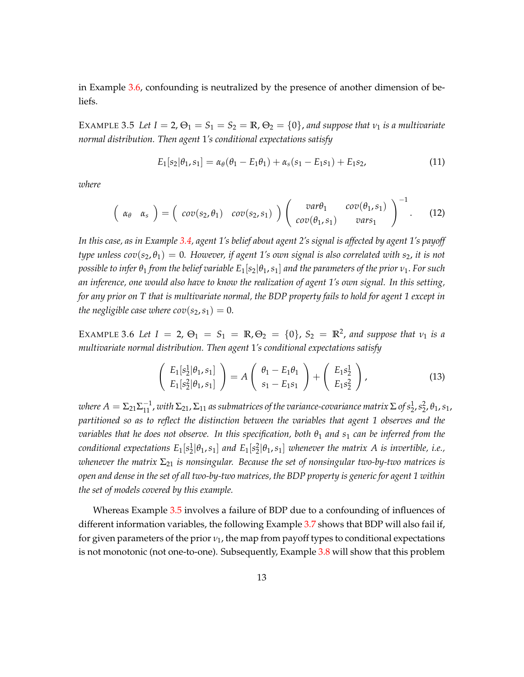in Example [3.6,](#page-14-1) confounding is neutralized by the presence of another dimension of beliefs.

<span id="page-14-0"></span>EXAMPLE 3.5 Let  $I = 2$ ,  $\Theta_1 = S_1 = S_2 = \mathbb{R}$ ,  $\Theta_2 = \{0\}$ , and suppose that  $v_1$  is a multivariate *normal distribution. Then agent* 1*'s conditional expectations satisfy*

$$
E_1[s_2|\theta_1,s_1] = \alpha_\theta(\theta_1 - E_1\theta_1) + \alpha_s(s_1 - E_1s_1) + E_1s_2,
$$
\n(11)

*where*

$$
\left(\begin{array}{cc}\alpha_{\theta} & \alpha_{s}\end{array}\right)=\left(\begin{array}{cc}cov(s_2,\theta_1)&cov(s_2,s_1)\end{array}\right)\left(\begin{array}{cc}var\theta_1&cov(\theta_1,s_1)\\cov(\theta_1,s_1)&vars_1\end{array}\right)^{-1}.\qquad(12)
$$

*In this case, as in Example [3.4,](#page-13-0) agent 1's belief about agent 2's signal is affected by agent 1's payoff type unless cov*( $s_2$ ,  $\theta_1$ ) = 0. However, if agent 1's own signal is also correlated with  $s_2$ , it is not *possible to infer θ*<sup>1</sup> *from the belief variable E*1[*s*2j*θ*1,*s*1] *and the parameters of the prior ν*1. *For such an inference, one would also have to know the realization of agent 1's own signal. In this setting, for any prior on T that is multivariate normal, the BDP property fails to hold for agent 1 except in the negligible case where*  $cov(s_2, s_1) = 0$ *.* 

<span id="page-14-1"></span>EXAMPLE 3.6 Let  $I = 2$ ,  $\Theta_1 = S_1 = \mathbb{R}$ ,  $\Theta_2 = \{0\}$ ,  $S_2 = \mathbb{R}^2$ , and suppose that  $v_1$  is a *multivariate normal distribution. Then agent* 1*'s conditional expectations satisfy*

$$
\begin{pmatrix} E_1[s_2^1|\theta_1, s_1] \\ E_1[s_2^2|\theta_1, s_1] \end{pmatrix} = A \begin{pmatrix} \theta_1 - E_1\theta_1 \\ s_1 - E_1s_1 \end{pmatrix} + \begin{pmatrix} E_1s_2^1 \\ E_1s_2^2 \end{pmatrix},
$$
(13)

where  $A=\Sigma_{21}\Sigma_{11}^{-1}$  , with  $\Sigma_{21}$ ,  $\Sigma_{11}$  as submatrices of the variance-covariance matrix  $\Sigma$  of  $s_2^1$ ,  $s_2^2$ ,  $\theta_1$ ,  $s_1$ , *partitioned so as to reflect the distinction between the variables that agent 1 observes and the variables that he does not observe. In this specification, both θ*<sup>1</sup> *and s*<sup>1</sup> *can be inferred from the conditional expectations*  $E_1[s_2^1 | \theta_1, s_1]$  *and*  $E_1[s_2^2 | \theta_1, s_1]$  *whenever the matrix A is invertible, i.e., whenever the matrix*  $\Sigma_{21}$  *is nonsingular. Because the set of nonsingular two-by-two matrices is open and dense in the set of all two-by-two matrices, the BDP property is generic for agent 1 within the set of models covered by this example.*

Whereas Example [3.5](#page-14-0) involves a failure of BDP due to a confounding of influences of different information variables, the following Example [3.7](#page-15-0) shows that BDP will also fail if, for given parameters of the prior  $v_1$ , the map from payoff types to conditional expectations is not monotonic (not one-to-one). Subsequently, Example [3.8](#page-15-1) will show that this problem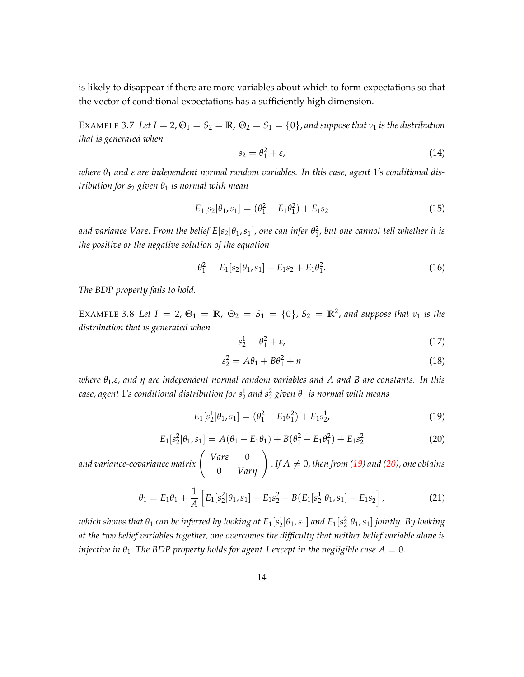is likely to disappear if there are more variables about which to form expectations so that the vector of conditional expectations has a sufficiently high dimension.

<span id="page-15-0"></span>EXAMPLE 3.7 Let  $I = 2$ ,  $\Theta_1 = S_2 = \mathbb{R}$ ,  $\Theta_2 = S_1 = \{0\}$ , and suppose that  $v_1$  is the distribution *that is generated when*

$$
s_2 = \theta_1^2 + \varepsilon,\tag{14}
$$

*where θ*<sup>1</sup> *and ε are independent normal random variables. In this case, agent* 1*'s conditional distribution for s*<sup>2</sup> *given θ*<sup>1</sup> *is normal with mean*

$$
E_1[s_2|\theta_1, s_1] = (\theta_1^2 - E_1\theta_1^2) + E_1s_2 \tag{15}
$$

and variance Var $\epsilon$ . From the belief  $E[s_2|\theta_1,s_1]$ , one can infer  $\theta_1^2$ , but one cannot tell whether it is *the positive or the negative solution of the equation*

$$
\theta_1^2 = E_1[s_2|\theta_1, s_1] - E_1s_2 + E_1\theta_1^2. \tag{16}
$$

*The BDP property fails to hold.*

<span id="page-15-1"></span>EXAMPLE 3.8 Let  $I = 2$ ,  $\Theta_1 = \mathbb{R}$ ,  $\Theta_2 = S_1 = \{0\}$ ,  $S_2 = \mathbb{R}^2$ , and suppose that  $v_1$  is the *distribution that is generated when*

$$
s_2^1 = \theta_1^2 + \varepsilon,\tag{17}
$$

$$
s_2^2 = A\theta_1 + B\theta_1^2 + \eta \tag{18}
$$

*where θ*1*,ε, and η are independent normal random variables and A and B are constants. In this case, agent* 1*'s conditional distribution for s*<sup>1</sup> 2 *and s*<sup>2</sup> 2 *given θ*<sup>1</sup> *is normal with means*

<span id="page-15-2"></span>
$$
E_1[s_2^1|\theta_1, s_1] = (\theta_1^2 - E_1\theta_1^2) + E_1s_2^1,
$$
\n(19)

<span id="page-15-3"></span>
$$
E_1[s_2^2|\theta_1, s_1] = A(\theta_1 - E_1\theta_1) + B(\theta_1^2 - E_1\theta_1^2) + E_1s_2^2
$$
 (20)

and variance-covariance matrix  $\begin{pmatrix} Var\epsilon & 0 \\ 0 & 0 \end{pmatrix}$ 0 *Varη* !  $I f A \neq 0$ , then from [\(19\)](#page-15-2) and [\(20\)](#page-15-3), one obtains

$$
\theta_1 = E_1 \theta_1 + \frac{1}{A} \left[ E_1[s_2^2 | \theta_1, s_1] - E_1 s_2^2 - B(E_1[s_2^1 | \theta_1, s_1] - E_1 s_2^1 \right], \tag{21}
$$

 $i$  *which shows that*  $\theta_1$  *can be inferred by looking at*  $E_1[s^1_2|\theta_1,s_1]$  *and*  $E_1[s^2_2|\theta_1,s_1]$  *jointly. By looking at the two belief variables together, one overcomes the difficulty that neither belief variable alone is injective in*  $\theta_1$ . The BDP property holds for agent 1 except in the negligible case  $A = 0$ .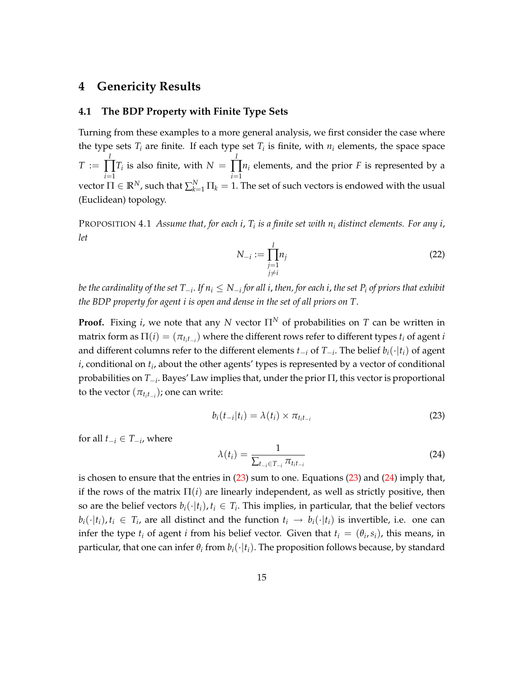## <span id="page-16-0"></span>**4 Genericity Results**

#### <span id="page-16-1"></span>**4.1 The BDP Property with Finite Type Sets**

Turning from these examples to a more general analysis, we first consider the case where the type sets  $T_i$  are finite. If each type set  $T_i$  is finite, with  $n_i$  elements, the space space *T* := *I* ∏ *i*=1  $T_i$  is also finite, with  $N =$ *I* ∏ *i*=1 *n<sup>i</sup>* elements, and the prior *F* is represented by a vector  $\Pi \in \mathbb{R}^N$ , such that  $\sum_{k=1}^N \Pi_k = 1$ . The set of such vectors is endowed with the usual (Euclidean) topology.

<span id="page-16-4"></span>PROPOSITION 4.1 *Assume that, for each i*, *T<sup>i</sup> is a finite set with n<sup>i</sup> distinct elements. For any i*, *let*

$$
N_{-i} := \prod_{\substack{j=1 \ j \neq i}}^{I} n_j \tag{22}
$$

be the cardinality of the set  $T_{-i}$ . If  $n_i\leq N_{-i}$  for all i, then, for each i, the set  $P_i$  of priors that exhibit *the BDP property for agent i is open and dense in the set of all priors on T*.

**Proof.** Fixing *i*, we note that any *N* vector  $\Pi^N$  of probabilities on *T* can be written in matrix form as  $\Pi(i) = (\pi_{t_i t_{-i}})$  where the different rows refer to different types  $t_i$  of agent *i* and different columns refer to the different elements  $t_{-i}$  of  $T_{-i}$ . The belief  $b_i(\cdot|t_i)$  of agent  $i$ , conditional on  $t_i$ , about the other agents' types is represented by a vector of conditional probabilities on  $T_{-i}$ . Bayes' Law implies that, under the prior  $\Pi$ , this vector is proportional to the vector  $(\pi_{t_it_{-i}})$ ; one can write:

<span id="page-16-2"></span>
$$
b_i(t_{-i}|t_i) = \lambda(t_i) \times \pi_{t_i t_{-i}} \tag{23}
$$

for all  $t_{-i} \in T_{-i}$ , where

<span id="page-16-3"></span>
$$
\lambda(t_i) = \frac{1}{\sum_{t_{-i} \in T_{-i}} \pi_{t_i t_{-i}}} \tag{24}
$$

is chosen to ensure that the entries in [\(23\)](#page-16-2) sum to one. Equations [\(23\)](#page-16-2) and [\(24\)](#page-16-3) imply that, if the rows of the matrix  $\Pi(i)$  are linearly independent, as well as strictly positive, then so are the belief vectors  $b_i(\cdot|t_i)$ ,  $t_i \in T_i$ . This implies, in particular, that the belief vectors  $b_i(\cdot|t_i)$ ,  $t_i \in T_i$ , are all distinct and the function  $t_i \to b_i(\cdot|t_i)$  is invertible, i.e. one can infer the type  $t_i$  of agent *i* from his belief vector. Given that  $t_i = (\theta_i, s_i)$ , this means, in particular, that one can infer  $\theta_i$  from  $b_i(\cdot|t_i)$ . The proposition follows because, by standard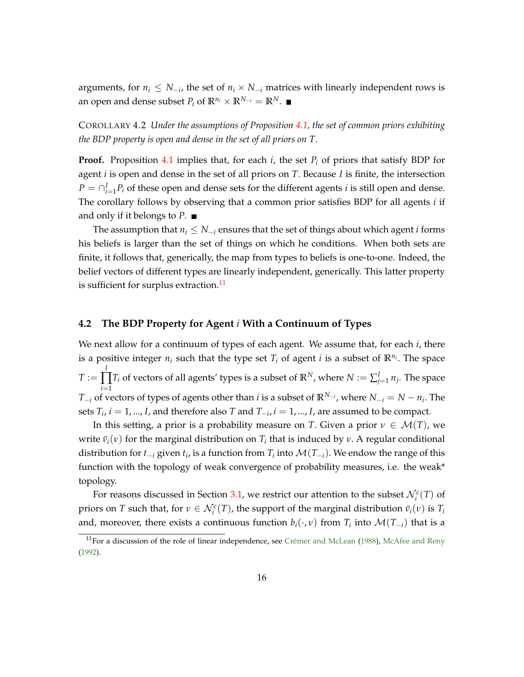<span id="page-17-2"></span>arguments, for  $n_i \leq N_{-i}$ , the set of  $n_i \times N_{-i}$  matrices with linearly independent rows is an open and dense subset  $P_i$  of  $\mathbb{R}^{n_i} \times \mathbb{R}^{N_{-i}} = \mathbb{R}^N$ .

## COROLLARY 4.2 *Under the assumptions of Proposition [4.1,](#page-16-4) the set of common priors exhibiting the BDP property is open and dense in the set of all priors on T*.

**Proof.** Proposition [4.1](#page-16-4) implies that, for each  $i$ , the set  $P_i$  of priors that satisfy BDP for agent *i* is open and dense in the set of all priors on *T*. Because *I* is finite, the intersection  $P = \bigcap_{i=1}^{I} P_i$  of these open and dense sets for the different agents *i* is still open and dense. The corollary follows by observing that a common prior satisfies BDP for all agents *i* if and only if it belongs to *P*.

The assumption that  $n_i \leq N_{-i}$  ensures that the set of things about which agent *i* forms his beliefs is larger than the set of things on which he conditions. When both sets are finite, it follows that, generically, the map from types to beliefs is one-to-one. Indeed, the belief vectors of different types are linearly independent, generically. This latter property is sufficient for surplus extraction.<sup>[11](#page-17-1)</sup>

#### <span id="page-17-0"></span>**4.2 The BDP Property for Agent** *i* **With a Continuum of Types**

We next allow for a continuum of types of each agent. We assume that, for each *i*, there is a positive integer  $n_i$  such that the type set  $T_i$  of agent *i* is a subset of  $\mathbb{R}^{n_i}$ . The space  $T :=$ *I*  $\prod T_i$  of vectors of all agents' types is a subset of  $\mathbb{R}^N$ , where  $N:=\sum_{j=1}^I n_j.$  The space *i*=1  $T_{-i}$  of vectors of types of agents other than *i* is a subset of  $\mathbb{R}^{N_{-i}}$ , where  $N_{-i} = N - n_i$ . The sets  $T_i$ ,  $i = 1, ..., I$ , and therefore also  $T$  and  $T_{-i}$ ,  $i = 1, ..., I$ , are assumed to be compact.

In this setting, a prior is a probability measure on *T*. Given a prior  $\nu \in \mathcal{M}(T)$ , we write  $\bar{v}_i(\nu)$  for the marginal distribution on  $T_i$  that is induced by  $\nu$ . A regular conditional distribution for  $t_{-i}$  given  $t_i$ , is a function from  $T_i$  into  $\mathcal{M}(T_{-i})$ . We endow the range of this function with the topology of weak convergence of probability measures, i.e. the weak\* topology.

For reasons discussed in Section [3.1,](#page-10-2) we restrict our attention to the subset  $\mathcal{N}_i^c(T)$  of priors on *T* such that, for  $\nu \in \mathcal{N}_i^c(T)$ , the support of the marginal distribution  $\bar{v}_i(\nu)$  is  $T_i$ and, moreover, there exists a continuous function  $b_i(\cdot, \nu)$  from  $T_i$  into  $\mathcal{M}(T_{-i})$  that is a

<span id="page-17-1"></span><sup>&</sup>lt;sup>11</sup>For a discussion of the role of linear independence, see [Crémer and McLean](#page-42-1) [\(1988\)](#page-42-1), [McAfee and Reny](#page-43-1) [\(1992\)](#page-43-1).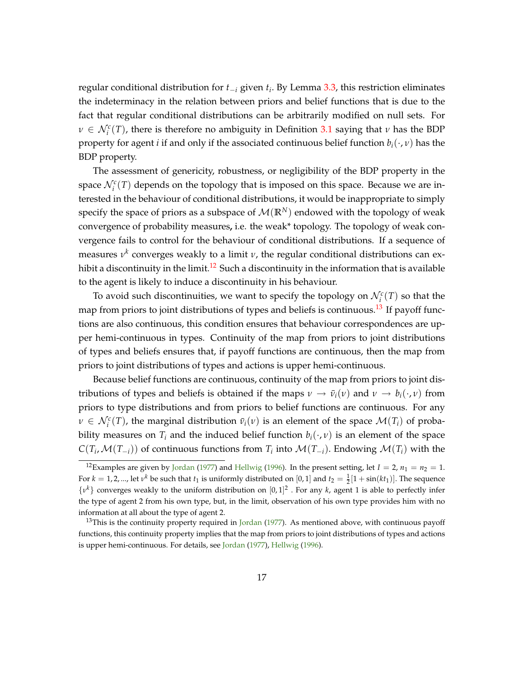<span id="page-18-2"></span>regular conditional distribution for *t<sup>i</sup>* given *t<sup>i</sup>* . By Lemma [3.3,](#page-12-1) this restriction eliminates the indeterminacy in the relation between priors and belief functions that is due to the fact that regular conditional distributions can be arbitrarily modified on null sets. For  $\nu \in \mathcal{N}_i^c(T)$ , there is therefore no ambiguity in Definition [3.1](#page-10-1) saying that *ν* has the BDP property for agent *i* if and only if the associated continuous belief function  $b_i(\cdot, v)$  has the BDP property.

The assessment of genericity, robustness, or negligibility of the BDP property in the space  $\mathcal{N}_i^c(T)$  depends on the topology that is imposed on this space. Because we are interested in the behaviour of conditional distributions, it would be inappropriate to simply specify the space of priors as a subspace of  $\mathcal{M}(\mathbb{R}^N)$  endowed with the topology of weak convergence of probability measures**,** i.e. the weak\* topology. The topology of weak convergence fails to control for the behaviour of conditional distributions. If a sequence of measures  $ν^k$  converges weakly to a limit  $ν$ , the regular conditional distributions can ex-hibit a discontinuity in the limit.<sup>[12](#page-18-0)</sup> Such a discontinuity in the information that is available to the agent is likely to induce a discontinuity in his behaviour.

To avoid such discontinuities, we want to specify the topology on  $\mathcal{N}_i^c(T)$  so that the map from priors to joint distributions of types and beliefs is continuous.<sup>[13](#page-18-1)</sup> If payoff functions are also continuous, this condition ensures that behaviour correspondences are upper hemi-continuous in types. Continuity of the map from priors to joint distributions of types and beliefs ensures that, if payoff functions are continuous, then the map from priors to joint distributions of types and actions is upper hemi-continuous.

Because belief functions are continuous, continuity of the map from priors to joint distributions of types and beliefs is obtained if the maps  $v \rightarrow \bar{v}_i(v)$  and  $v \rightarrow b_i(\cdot, v)$  from priors to type distributions and from priors to belief functions are continuous. For any  $\nu \in \mathcal{N}_i^c(T)$ , the marginal distribution  $\bar{\nu}_i(\nu)$  is an element of the space  $\mathcal{M}(T_i)$  of probability measures on  $T_i$  and the induced belief function  $b_i(\cdot, \nu)$  is an element of the space  $C(T_i, \mathcal{M}(T_{-i}))$  of continuous functions from  $T_i$  into  $\mathcal{M}(T_{-i})$ . Endowing  $\mathcal{M}(T_i)$  with the

<span id="page-18-0"></span><sup>&</sup>lt;sup>12</sup>Examples are given by [Jordan](#page-43-3) [\(1977\)](#page-43-3) and [Hellwig](#page-42-11) [\(1996\)](#page-42-11). In the present setting, let  $I = 2$ ,  $n_1 = n_2 = 1$ . For  $k = 1, 2, ...$ , let  $v^k$  be such that  $t_1$  is uniformly distributed on  $[0, 1]$  and  $t_2 = \frac{1}{2}[1 + \sin(kt_1)]$ . The sequence  $\{v^k\}$  converges weakly to the uniform distribution on  $[0, 1]^2$ . For any *k*, agent 1 is able to perfectly infer the type of agent 2 from his own type, but, in the limit, observation of his own type provides him with no information at all about the type of agent 2.

<span id="page-18-1"></span><sup>&</sup>lt;sup>13</sup>This is the continuity property required in [Jordan](#page-43-3) [\(1977\)](#page-43-3). As mentioned above, with continuous payoff functions, this continuity property implies that the map from priors to joint distributions of types and actions is upper hemi-continuous. For details, see [Jordan](#page-43-3) [\(1977\)](#page-43-3), [Hellwig](#page-42-11) [\(1996\)](#page-42-11).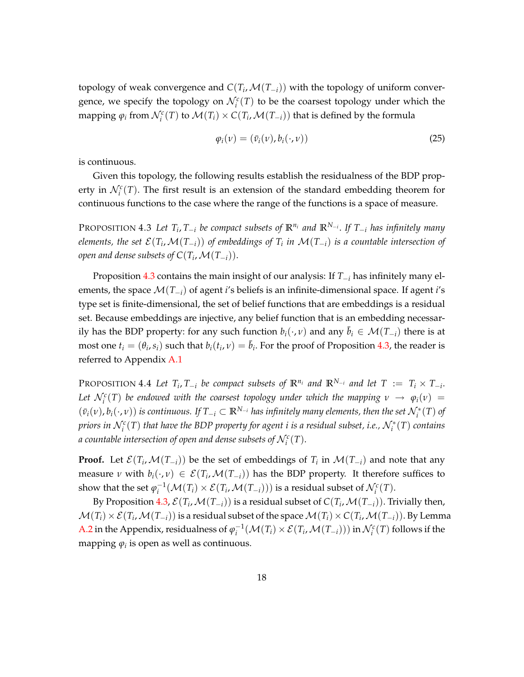topology of weak convergence and  $C(T_i, \mathcal{M}(T_{-i}))$  with the topology of uniform convergence, we specify the topology on  $\mathcal{N}_i^c(T)$  to be the coarsest topology under which the mapping  $\varphi_i$  from  $\mathcal{N}_i^c(T)$  to  $\mathcal{M}(T_i) \times C(T_i, \mathcal{M}(T_{-i}))$  that is defined by the formula

$$
\varphi_i(\nu) = (\bar{v}_i(\nu), b_i(\cdot, \nu)) \tag{25}
$$

is continuous.

Given this topology, the following results establish the residualness of the BDP property in  $\mathcal{N}_i^c(T)$ . The first result is an extension of the standard embedding theorem for continuous functions to the case where the range of the functions is a space of measure.

<span id="page-19-0"></span>PROPOSITION 4.3 Let  $T_i$ ,  $T_{-i}$  be compact subsets of  $\mathbb{R}^{n_i}$  and  $\mathbb{R}^{N_{-i}}$ . If  $T_{-i}$  has infinitely many  $e$ lements, the set  $\mathcal{E}(T_i,\mathcal{M}(T_{-i}))$  of embeddings of  $T_i$  in  $\mathcal{M}(T_{-i})$  is a countable intersection of *open and dense subsets of*  $C(T_i, \mathcal{M}(T_{-i}))$ *.* 

Proposition [4.3](#page-19-0) contains the main insight of our analysis: If  $T_{-i}$  has infinitely many elements, the space M(*Ti*) of agent *i*'s beliefs is an infinite-dimensional space. If agent *i*'s type set is finite-dimensional, the set of belief functions that are embeddings is a residual set. Because embeddings are injective, any belief function that is an embedding necessarily has the BDP property: for any such function  $b_i(\cdot, v)$  and any  $\bar{b}_i \in \mathcal{M}(T_{-i})$  there is at most one  $t_i = (\theta_i, s_i)$  such that  $b_i(t_i, v) = \bar{b}_i$ . For the proof of Proposition [4.3,](#page-19-0) the reader is referred to Appendix [A.1](#page-30-0)

<span id="page-19-1"></span>PROPOSITION 4.4 Let  $T_i$ ,  $T_{-i}$  be compact subsets of  $\mathbb{R}^{n_i}$  and  $\mathbb{R}^{N_{-i}}$  and let  $T := T_i \times T_{-i}$ . Let  $\mathcal{N}_i^c(T)$  be endowed with the coarsest topology under which the mapping  $v \to \varphi_i(v) =$  $(\bar{v}_i(v), b_i(\cdot, v))$  is continuous. If  $T_{-i} \subset \mathbb{R}^{N_{-i}}$  has infinitely many elements, then the set  $\mathcal{N}_i^*(T)$  of *priors in*  $\mathcal{N}_i^c(T)$  *that have the BDP property for agent*  $i$  *is a residual subset, i.e.,*  $\mathcal{N}_i^*(T)$  *contains a* countable intersection of open and dense subsets of  $\mathcal{N}_i^c(T)$ .

**Proof.** Let  $\mathcal{E}(T_i, \mathcal{M}(T_{-i}))$  be the set of embeddings of  $T_i$  in  $\mathcal{M}(T_{-i})$  and note that any measure *ν* with  $b_i(\cdot, v) \in \mathcal{E}(T_i, \mathcal{M}(T_{-i}))$  has the BDP property. It therefore suffices to show that the set  $\varphi_i^{-1}(\mathcal{M}(T_i) \times \mathcal{E}(T_i, \mathcal{M}(T_{-i})))$  is a residual subset of  $\mathcal{N}_i^c(T)$ .

By Proposition [4.3,](#page-19-0)  $\mathcal{E}(T_i,\mathcal{M}(T_{-i}))$  is a residual subset of  $C(T_i,\mathcal{M}(T_{-i}))$ . Trivially then,  $\mathcal{M}(T_i) \times \mathcal{E}(T_i, \mathcal{M}(T_{-i}))$  is a residual subset of the space  $\mathcal{M}(T_i) \times C(T_i, \mathcal{M}(T_{-i}))$ . By Lemma [A.2](#page-30-1) in the Appendix, residualness of  $\varphi_i^{-1}(\mathcal{M}(T_i) \times \mathcal{E}(T_i, \mathcal{M}(T_{-i})))$  in  $\mathcal{N}_i^c(T)$  follows if the mapping  $\varphi_i$  is open as well as continuous.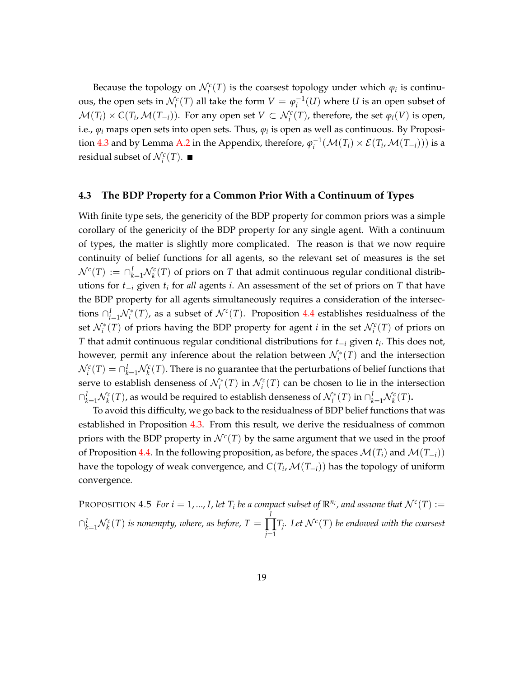Because the topology on  $\mathcal{N}_i^c(T)$  is the coarsest topology under which  $\varphi_i$  is continuous, the open sets in  $\mathcal{N}_i^c(T)$  all take the form  $V = \varphi_i^{-1}(U)$  where *U* is an open subset of  $\mathcal{M}(T_i) \times C(T_i, \mathcal{M}(T_{-i}))$ . For any open set  $V \subset \mathcal{N}_i^c(T)$ , therefore, the set  $\varphi_i(V)$  is open, i.e., *ϕ<sup>i</sup>* maps open sets into open sets. Thus, *ϕ<sup>i</sup>* is open as well as continuous. By Proposi-tion [4.3](#page-19-0) and by Lemma [A.2](#page-30-1) in the Appendix, therefore,  $\varphi_i^{-1}(\mathcal{M}(T_i) \times \mathcal{E}(T_i, \mathcal{M}(T_{-i})))$  is a residual subset of  $\mathcal{N}_i^c(T)$ .

## <span id="page-20-0"></span>**4.3 The BDP Property for a Common Prior With a Continuum of Types**

With finite type sets, the genericity of the BDP property for common priors was a simple corollary of the genericity of the BDP property for any single agent. With a continuum of types, the matter is slightly more complicated. The reason is that we now require continuity of belief functions for all agents, so the relevant set of measures is the set  $\mathcal{N}^c(T) := \cap_{k=1}^I \mathcal{N}_k^c(T)$  of priors on  $T$  that admit continuous regular conditional distributions for  $t_{-i}$  given  $t_i$  for *all* agents *i*. An assessment of the set of priors on  $T$  that have the BDP property for all agents simultaneously requires a consideration of the intersections  $\bigcap_{i=1}^{I} \mathcal{N}_i^*(T)$ , as a subset of  $\mathcal{N}^c(T)$ . Proposition [4.4](#page-19-1) establishes residualness of the set  $\mathcal{N}_i^*(T)$  of priors having the BDP property for agent *i* in the set  $\mathcal{N}_i^c(T)$  of priors on  $T$  that admit continuous regular conditional distributions for  $t_{-i}$  given  $t_i$ . This does not, however, permit any inference about the relation between  $\mathcal{N}_i^*(T)$  and the intersection  $\mathcal{N}_i^c(T) = \cap_{k=1}^I \mathcal{N}_k^c(T)$ . There is no guarantee that the perturbations of belief functions that serve to establish denseness of  $\mathcal{N}_i^*(T)$  in  $\mathcal{N}_i^c(T)$  can be chosen to lie in the intersection  $\cap_{k=1}^I\mathcal{N}_k^c(T)$ , as would be required to establish denseness of  $\mathcal{N}_i^*(T)$  in  $\cap_{k=1}^I\mathcal{N}_k^c(T)$ .

To avoid this difficulty, we go back to the residualness of BDP belief functions that was established in Proposition [4.3.](#page-19-0) From this result, we derive the residualness of common priors with the BDP property in  $\mathcal{N}^c(T)$  by the same argument that we used in the proof of Proposition [4.4.](#page-19-1) In the following proposition, as before, the spaces  $\mathcal{M}(T_i)$  and  $\mathcal{M}(T_{-i})$ ) have the topology of weak convergence, and  $C(T_i, \mathcal{M}(T_{-i}))$  has the topology of uniform convergence.

<span id="page-20-1"></span>PROPOSITION  $4.5$  *For*  $i = 1,..., I$ *, let*  $T_i$  *be a compact subset of*  $\mathbb{R}^{n_i}$ *, and assume that*  $\mathcal{N}^c(T) :=$  $\bigcap_{k=1}^{I} \mathcal{N}^c_k(T)$  *is nonempty, where, as before, T* = *I* ∏ *j*=1  $T_j$ *. Let*  $\mathcal{N}^c(T)$  *be endowed with the coarsest*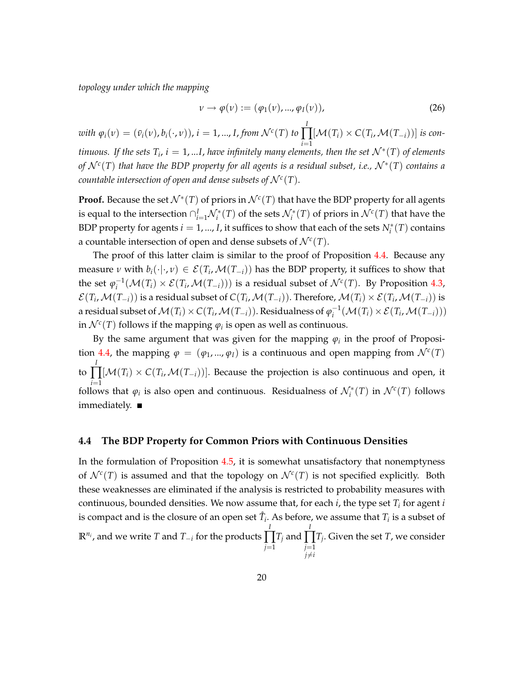*topology under which the mapping*

$$
\nu \to \varphi(\nu) := (\varphi_1(\nu), ..., \varphi_I(\nu)), \tag{26}
$$

 $\omega$ *ith*  $\varphi_i(\nu) = (\bar{\nu}_i(\nu), \bar{b}_i(\cdot, \nu))$ ,  $i = 1, ..., I$ , from  $\mathcal{N}^c(T)$  to *I*  $\prod [\mathcal{M}(T_i) \times C(T_i, \mathcal{M}(T_{-i}))]$  is con*i*=1 *tinuous.* If the sets  $T_i$ ,  $i = 1,...I$ , have infinitely many elements, then the set  $\mathcal{N}^*(T)$  of elements *of*  $\mathcal{N}^c(T)$  *that have the BDP property for all agents is a residual subset, i.e.,*  $\mathcal{N}^*(T)$  *<i>contains a countable intersection of open and dense subsets of*  $\mathcal{N}^c(T)$ *.* 

**Proof.** Because the set  $\mathcal{N}^*(T)$  of priors in  $\mathcal{N}^c(T)$  that have the BDP property for all agents is equal to the intersection  $\cap_{i=1}^I \mathcal{N}_i^*(T)$  of the sets  $\mathcal{N}_i^*(T)$  of priors in  $\mathcal{N}^c(T)$  that have the BDP property for agents  $i = 1, ..., I$ , it suffices to show that each of the sets  $N_i^*(T)$  contains a countable intersection of open and dense subsets of  $\mathcal{N}^c(T)$ .

The proof of this latter claim is similar to the proof of Proposition [4.4.](#page-19-1) Because any measure *ν* with  $b_i(\cdot|\cdot, v) \in \mathcal{E}(T_i, \mathcal{M}(T_{-i}))$  has the BDP property, it suffices to show that the set  $\varphi_i^{-1}(\mathcal{M}(T_i) \times \mathcal{E}(T_i, \mathcal{M}(T_{-i})))$  is a residual subset of  $\mathcal{N}^c(T)$ . By Proposition [4.3,](#page-19-0)  $\mathcal{E}(T_i,\mathcal{M}(T_{-i}))$  is a residual subset of  $C(T_i,\mathcal{M}(T_{-i}))$ . Therefore,  $\mathcal{M}(T_i)\times\mathcal{E}(T_i,\mathcal{M}(T_{-i}))$  is a residual subset of  $\mathcal{M}(T_i) \times C(T_i, \mathcal{M}(T_{-i}))$ . Residualness of  $\varphi_i^{-1}(\mathcal{M}(T_i) \times \mathcal{E}(T_i, \mathcal{M}(T_{-i})))$ in  $\mathcal{N}^c(T)$  follows if the mapping  $\varphi_i$  is open as well as continuous.

By the same argument that was given for the mapping *ϕ<sup>i</sup>* in the proof of Proposi-tion [4.4,](#page-19-1) the mapping  $\varphi = (\varphi_1, ..., \varphi_I)$  is a continuous and open mapping from  $\mathcal{N}^c(T)$ to *I*  $\prod [\mathcal{M}(T_i) \times C(T_i, \mathcal{M}(T_{-i}))]$ . Because the projection is also continuous and open, it *i*=1 follows that  $\varphi_i$  is also open and continuous. Residualness of  $\mathcal{N}_i^*(T)$  in  $\mathcal{N}^c(T)$  follows immediately.

#### <span id="page-21-0"></span>**4.4 The BDP Property for Common Priors with Continuous Densities**

In the formulation of Proposition [4.5,](#page-20-1) it is somewhat unsatisfactory that nonemptyness of  $\mathcal{N}^c(T)$  is assumed and that the topology on  $\mathcal{N}^c(T)$  is not specified explicitly. Both these weaknesses are eliminated if the analysis is restricted to probability measures with continuous, bounded densities. We now assume that, for each *i*, the type set *T<sup>i</sup>* for agent *i* is compact and is the closure of an open set  $\mathring{T}_i$ . As before, we assume that  $T_i$  is a subset of  $\mathbb{R}^{n_i}$ , and we write *T* and *T*<sub>*i*</sub> for the products *I* ∏ *j*=1 *T<sup>j</sup>* and *I* ∏ *j*=1  $i \neq i$ *Tj* . Given the set *T*, we consider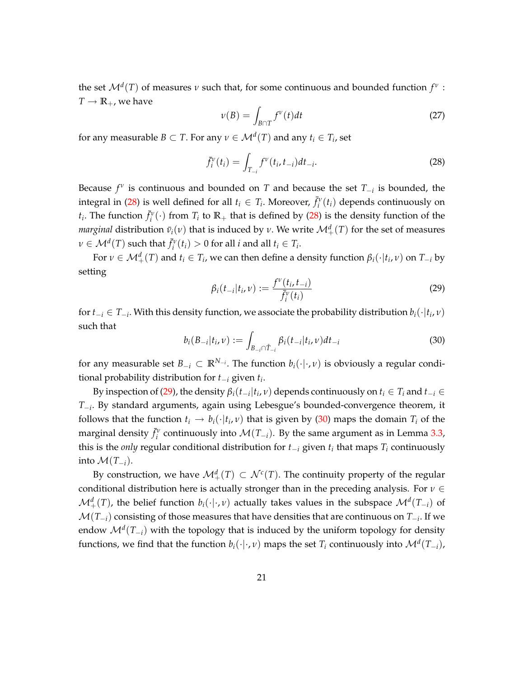the set  $\mathcal{M}^d(T)$  of measures *ν* such that, for some continuous and bounded function  $f^v$ :  $T \rightarrow \mathbb{R}_+$ , we have

$$
\nu(B) = \int_{B \cap T} f^{\nu}(t) dt
$$
\n(27)

for any measurable  $B \subset T$ . For any  $v \in \mathcal{M}^d(T)$  and any  $t_i \in T_i$ , set

<span id="page-22-0"></span>
$$
\bar{f}_i^{\nu}(t_i) = \int_{T_{-i}} f^{\nu}(t_i, t_{-i}) dt_{-i}.
$$
\n(28)

Because  $f^{\nu}$  is continuous and bounded on *T* and because the set  $T_{-i}$  is bounded, the integral in [\(28\)](#page-22-0) is well defined for all  $t_i \in T_i$ . Moreover,  $\bar{f}_i^{\nu}(t_i)$  depends continuously on *t*<sub>*i*</sub>. The function  $\bar{f}^{\nu}_{i}(\cdot)$  from  $T_{i}$  to  $\mathbb{R}_{+}$  that is defined by [\(28\)](#page-22-0) is the density function of the *marginal* distribution  $\bar{v}_i(v)$  that is induced by  $v$ . We write  $\mathcal{M}^d_+(T)$  for the set of measures  $\nu \in \mathcal{M}^d(T)$  such that  $\bar{f}_i^{\nu}(t_i) > 0$  for all *i* and all  $t_i \in T_i$ .

For  $\nu \in M^d_+(T)$  and  $t_i \in T_i$ , we can then define a density function  $\beta_i(\cdot|t_i,\nu)$  on  $T_{-i}$  by setting

<span id="page-22-1"></span>
$$
\beta_i(t_{-i}|t_i,\nu) := \frac{f^{\nu}(t_i,t_{-i})}{\bar{f}_i^{\nu}(t_i)}
$$
\n(29)

for  $t_{-i} \in T_{-i}$ . With this density function, we associate the probability distribution  $b_i(\cdot|t_i, v)$ such that

<span id="page-22-2"></span>
$$
b_i(B_{-i}|t_i, \nu) := \int_{B_{-i} \cap \hat{T}_{-i}} \beta_i(t_{-i}|t_i, \nu) dt_{-i} \tag{30}
$$

for any measurable set  $B_{-i} \subset \mathbb{R}^{N_{-i}}$ . The function  $b_i(\cdot|\cdot,v)$  is obviously a regular conditional probability distribution for *t<sup>i</sup>* given *t<sup>i</sup>* .

By inspection of [\(29\)](#page-22-1), the density  $\beta_i(t_{-i}|t_i,v)$  depends continuously on  $t_i \in T_i$  and  $t_{-i} \in$ *T<sup>i</sup>* . By standard arguments, again using Lebesgue's bounded-convergence theorem, it follows that the function  $t_i \rightarrow b_i(\cdot|t_i, v)$  that is given by [\(30\)](#page-22-2) maps the domain  $T_i$  of the marginal density  $\bar{f}_i^{\nu}$  continuously into  $\mathcal{M}(T_{-i})$ . By the same argument as in Lemma [3.3,](#page-12-1) this is the *only* regular conditional distribution for  $t_{-i}$  given  $t_i$  that maps  $T_i$  continuously into  $\mathcal{M}(T_{-i})$ .

By construction, we have  $\mathcal{M}^d_+(T) \subset \mathcal{N}^c(T)$ . The continuity property of the regular conditional distribution here is actually stronger than in the preceding analysis. For  $\nu \in$  $\mathcal{M}^d_+(T)$ , the belief function  $b_i(\cdot|\cdot,\nu)$  actually takes values in the subspace  $\mathcal{M}^d(T_{-i})$  of  $\mathcal{M}(T_{-i})$  consisting of those measures that have densities that are continuous on  $T_{-i}$ . If we endow  $\mathcal{M}^d(T_{-i})$  with the topology that is induced by the uniform topology for density functions, we find that the function  $b_i(\cdot|\cdot, v)$  maps the set  $T_i$  continuously into  $\mathcal{M}^d(T_{-i})$ ,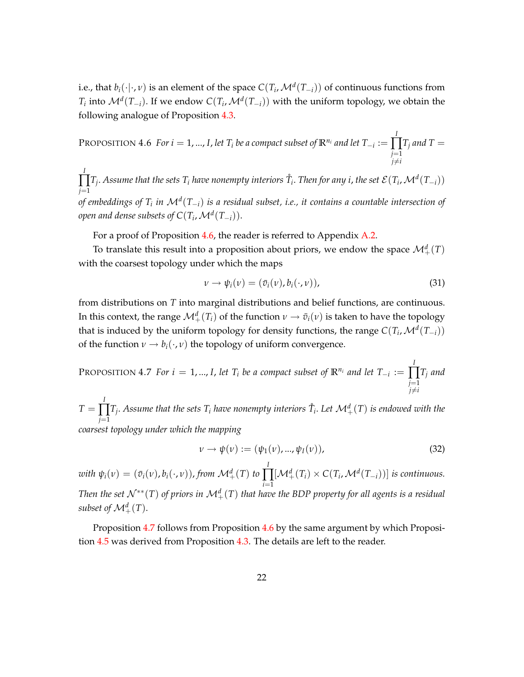i.e., that  $b_i(\cdot|\cdot,v)$  is an element of the space  $C(T_i,\mathcal{M}^d(T_{-i}))$  of continuous functions from *T*<sub>*i*</sub> into  $\mathcal{M}^d(T_{-i})$ . If we endow  $C(T_i, \mathcal{M}^d(T_{-i}))$  with the uniform topology, we obtain the following analogue of Proposition [4.3.](#page-19-0)

<span id="page-23-0"></span>PROPOSITION 4.6 For  $i = 1, ..., I$ , let  $T_i$  be a compact subset of  $\mathbb{R}^{n_i}$  and let  $T_{-i} :=$ *I* ∏ *j*=1  $j \neq i$  $T_j$  and T  $=$ 

*I* ∏ *j*=1  $T_j$ . Assume that the sets  $T_i$  have nonempty interiors  $\mathring{T}_i$ . Then for any  $i$ , the set  $\mathcal{E}(T_i,\mathcal{M}^d(T_{-i}))$ *of embeddings of*  $T_i$  *in*  $\mathcal{M}^d(T_{-i})$  *is a residual subset, i.e., it contains a countable intersection of open and dense subsets of*  $C(T_i, \mathcal{M}^d(T_{-i})).$ 

For a proof of Proposition [4.6,](#page-23-0) the reader is referred to Appendix [A.2.](#page-34-0)

To translate this result into a proposition about priors, we endow the space  $\mathcal{M}^d_+(T)$ with the coarsest topology under which the maps

$$
\nu \to \psi_i(\nu) = (\bar{v}_i(\nu), b_i(\cdot, \nu)), \tag{31}
$$

from distributions on *T* into marginal distributions and belief functions, are continuous. In this context, the range  $\mathcal{M}^d_+(T_i)$  of the function  $\nu \to \bar{v}_i(\nu)$  is taken to have the topology that is induced by the uniform topology for density functions, the range  $C(T_i, \mathcal{M}^d(T_{-i}))$ of the function  $v \rightarrow b_i(\cdot, v)$  the topology of uniform convergence.

<span id="page-23-1"></span>PROPOSITION 4.7 *For i* = 1, ..., *I*, *let*  $T_i$  *be a compact subset of*  $\mathbb{R}^{n_i}$  *and let*  $T_{-i}$  := *I* ∏ *j*=1  $j \neq i$ *T<sup>j</sup> and*

 $T =$ *I* ∏ *j*=1  $T_j$ . Assume that the sets  $T_i$  have nonempty interiors  $\mathring{T}_i$ . Let  $\mathcal{M}^d_+(\mathit{T})$  is endowed with the *coarsest topology under which the mapping*

$$
\nu \to \psi(\nu) := (\psi_1(\nu), ..., \psi_I(\nu)), \tag{32}
$$

 $\omega$ *ith*  $\psi_i(\nu) = (\bar{v}_i(\nu), b_i(\cdot, \nu))$ , from  $\mathcal{M}^d_+(T)$  to *I* ∏  $\prod_{i=1} [\mathcal{M}_{+}^{d}(T_{i}) \times C(T_{i}, \mathcal{M}^{d}(T_{-i}))]$  *is continuous. Then the set*  $\mathcal{N}^{**}(T)$  *of priors in*  $\mathcal{M}^d_+(T)$  *that have the BDP property for all agents is a residual subset of*  $\mathcal{M}^d_+(T)$ .

<span id="page-23-2"></span>Proposition [4.7](#page-23-1) follows from Proposition [4.6](#page-23-0) by the same argument by which Proposition [4.5](#page-20-1) was derived from Proposition [4.3.](#page-19-0) The details are left to the reader.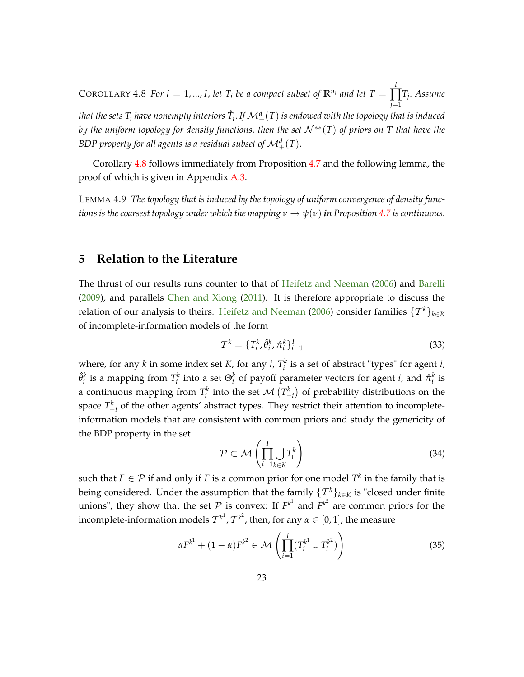<span id="page-24-2"></span> $\text{COROLLARY 4.8 For } i = 1, ..., I,$  let  $T_i$  be a compact subset of  $\mathbb{R}^{n_i}$  and let  $T = \int_0^T d\mathbf{r}$ ∏ *Tj* . *Assume j*=1 that the sets  $T_i$  have nonempty interiors  $\mathring{T}_i$ . If  $\mathcal{M}^d_+(T)$  is endowed with the topology that is induced *by the uniform topology for density functions, then the set*  $\mathcal{N}^{**}(T)$  *of priors on* T that have the *BDP property for all agents is a residual subset of*  $\mathcal{M}_{+}^{d}(T)$ *.* 

Corollary [4.8](#page-23-2) follows immediately from Proposition [4.7](#page-23-1) and the following lemma, the proof of which is given in Appendix [A.3.](#page-40-0)

<span id="page-24-1"></span>LEMMA 4.9 *The topology that is induced by the topology of uniform convergence of density functions is the coarsest topology under which the mapping*  $\nu \rightarrow \psi(\nu)$  *in Proposition* [4.7](#page-23-1) *is continuous.* 

## <span id="page-24-0"></span>**5 Relation to the Literature**

The thrust of our results runs counter to that of [Heifetz and Neeman](#page-42-0) [\(2006\)](#page-42-0) and [Barelli](#page-42-7) [\(2009\)](#page-42-7), and parallels [Chen and Xiong](#page-42-8) [\(2011\)](#page-42-8). It is therefore appropriate to discuss the relation of our analysis to theirs. [Heifetz and Neeman](#page-42-0) [\(2006\)](#page-42-0) consider families  $\{\mathcal{T}^k\}_{k\in\mathbb{K}}$ of incomplete-information models of the form

$$
\mathcal{T}^k = \{T_i^k, \hat{\theta}_i^k, \hat{\pi}_i^k\}_{i=1}^I
$$
\n(33)

where, for any *k* in some index set *K*, for any *i*,  $T_i^k$  is a set of abstract "types" for agent *i*,  $\hat{\theta}^k_i$  is a mapping from  $T^k_i$  into a set  $\Theta^k_i$  of payoff parameter vectors for agent *i*, and  $\hat{\pi}^k_i$  is a continuous mapping from  $T_i^k$  into the set  $\mathcal{M}$   $(T_{-i}^k)$ ) of probability distributions on the space  $T_{-i}^k$  of the other agents' abstract types. They restrict their attention to incompleteinformation models that are consistent with common priors and study the genericity of the BDP property in the set

$$
\mathcal{P} \subset \mathcal{M}\left(\prod_{i=1}^{I} \bigcup_{k \in K} T_i^k\right) \tag{34}
$$

such that  $F \in \mathcal{P}$  if and only if *F* is a common prior for one model  $T^k$  in the family that is being considered. Under the assumption that the family  $\{T^k\}_{k\in K}$  is "closed under finite unions", they show that the set  $P$  is convex: If  $F^{k^1}$  and  $F^{k^2}$  are common priors for the incomplete-information models  $T^{k^1}, T^{k^2}$ , then, for any  $\alpha \in [0, 1]$ , the measure

$$
\alpha F^{k^1} + (1 - \alpha) F^{k^2} \in \mathcal{M}\left(\prod_{i=1}^I (T_i^{k^1} \cup T_i^{k^2})\right)
$$
 (35)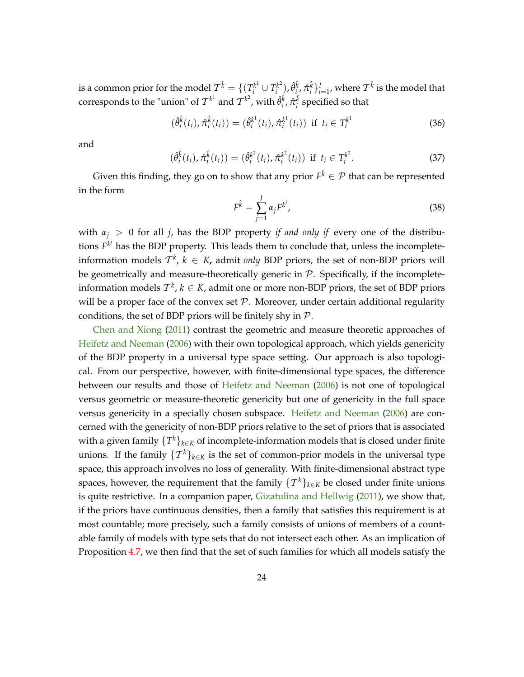<span id="page-25-0"></span>is a common prior for the model  $\mathcal{T}^{\hat{k}} = \{(\mathcal{T}^{k^1}_i \cup \mathcal{T}^{k^2}_i) \}$  $\hat{T}^{k^2}_{i}$ ),  $\hat{\theta}^{\hat{k}}_{i}$ ,  $\hat{\pi}^{\hat{k}}_{i}\}_{i=1}^I$ , where  $\mathcal{T}^{\hat{k}}$  is the model that corresponds to the "union" of  $T^{k^1}$  and  $T^{k^2}$ , with  $\hat{\theta}_i^{\hat{k}}, \hat{\pi}_i^{\hat{k}}$  specified so that

$$
(\hat{\theta}_i^{\hat{k}}(t_i), \hat{\pi}_i^{\hat{k}}(t_i)) = (\hat{\theta}_i^{k^1}(t_i), \hat{\pi}_i^{k^1}(t_i)) \text{ if } t_i \in T_i^{k^1}
$$
 (36)

and

$$
(\hat{\theta}_i^{\hat{k}}(t_i), \hat{\pi}_i^{\hat{k}}(t_i)) = (\hat{\theta}_i^{k^2}(t_i), \hat{\pi}_i^{k^2}(t_i)) \text{ if } t_i \in T_i^{k^2}.
$$
 (37)

Given this finding, they go on to show that any prior  $F^{\hat{k}} \in \mathcal{P}$  that can be represented in the form

$$
F^{\hat{k}} = \sum_{j=1}^{J} \alpha_j F^{k^j}, \qquad (38)
$$

with  $\alpha_i > 0$  for all *j*, has the BDP property *if and only if* every one of the distributions  $F^{k^j}$  has the BDP property. This leads them to conclude that, unless the incompleteinformation models  $\mathcal{T}^k$ ,  $k \in K$ , admit *only* BDP priors, the set of non-BDP priors will be geometrically and measure-theoretically generic in  $P$ . Specifically, if the incompleteinformation models  $T^k$ ,  $k \in K$ , admit one or more non-BDP priors, the set of BDP priors will be a proper face of the convex set  $P$ . Moreover, under certain additional regularity conditions, the set of BDP priors will be finitely shy in  $P$ .

[Chen and Xiong](#page-42-8) [\(2011\)](#page-42-8) contrast the geometric and measure theoretic approaches of [Heifetz and Neeman](#page-42-0) [\(2006\)](#page-42-0) with their own topological approach, which yields genericity of the BDP property in a universal type space setting. Our approach is also topological. From our perspective, however, with finite-dimensional type spaces, the difference between our results and those of [Heifetz and Neeman](#page-42-0) [\(2006\)](#page-42-0) is not one of topological versus geometric or measure-theoretic genericity but one of genericity in the full space versus genericity in a specially chosen subspace. [Heifetz and Neeman](#page-42-0) [\(2006\)](#page-42-0) are concerned with the genericity of non-BDP priors relative to the set of priors that is associated with a given family  $\{T^k\}_{k\in K}$  of incomplete-information models that is closed under finite unions. If the family  $\{T^k\}_{k\in K}$  is the set of common-prior models in the universal type space, this approach involves no loss of generality. With finite-dimensional abstract type spaces, however, the requirement that the family  $\{\mathcal{T}^k\}_{k\in K}$  be closed under finite unions is quite restrictive. In a companion paper, [Gizatulina and Hellwig](#page-42-6) [\(2011\)](#page-42-6), we show that, if the priors have continuous densities, then a family that satisfies this requirement is at most countable; more precisely, such a family consists of unions of members of a countable family of models with type sets that do not intersect each other. As an implication of Proposition [4.7,](#page-23-1) we then find that the set of such families for which all models satisfy the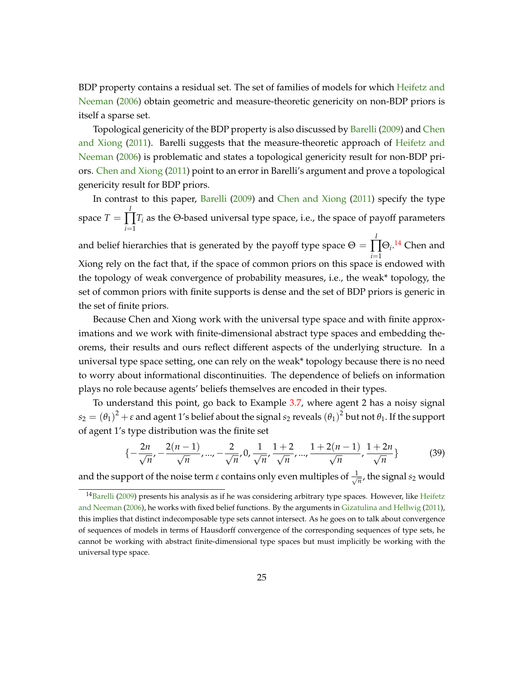<span id="page-26-2"></span>BDP property contains a residual set. The set of families of models for which [Heifetz and](#page-42-0) [Neeman](#page-42-0) [\(2006\)](#page-42-0) obtain geometric and measure-theoretic genericity on non-BDP priors is itself a sparse set.

Topological genericity of the BDP property is also discussed by [Barelli](#page-42-7) [\(2009\)](#page-42-7) and [Chen](#page-42-8) [and Xiong](#page-42-8) [\(2011\)](#page-42-8). Barelli suggests that the measure-theoretic approach of [Heifetz and](#page-42-0) [Neeman](#page-42-0) [\(2006\)](#page-42-0) is problematic and states a topological genericity result for non-BDP priors. [Chen and Xiong](#page-42-8) [\(2011\)](#page-42-8) point to an error in Barelli's argument and prove a topological genericity result for BDP priors.

In contrast to this paper, [Barelli](#page-42-7) [\(2009\)](#page-42-7) and [Chen and Xiong](#page-42-8) [\(2011\)](#page-42-8) specify the type space *T* = *I* ∏ *i*=1 *T<sup>i</sup>* as the Θ-based universal type space, i.e., the space of payoff parameters and belief hierarchies that is generated by the payoff type space  $\Theta=$ *I*  $\prod \Theta_i$ .<sup>[14](#page-26-0)</sup> Chen and *i*=1 Xiong rely on the fact that, if the space of common priors on this space is endowed with the topology of weak convergence of probability measures, i.e., the weak\* topology, the set of common priors with finite supports is dense and the set of BDP priors is generic in the set of finite priors.

Because Chen and Xiong work with the universal type space and with finite approximations and we work with finite-dimensional abstract type spaces and embedding theorems, their results and ours reflect different aspects of the underlying structure. In a universal type space setting, one can rely on the weak\* topology because there is no need to worry about informational discontinuities. The dependence of beliefs on information plays no role because agents' beliefs themselves are encoded in their types.

To understand this point, go back to Example [3.7,](#page-15-0) where agent 2 has a noisy signal  $s_2=(\theta_1)^2+\varepsilon$  and agent 1's belief about the signal  $s_2$  reveals  $(\theta_1)^2$  but not  $\theta_1.$  If the support of agent 1's type distribution was the finite set

<span id="page-26-1"></span>
$$
\{-\frac{2n}{\sqrt{n}}, -\frac{2(n-1)}{\sqrt{n}}, \dots, -\frac{2}{\sqrt{n}}, 0, \frac{1}{\sqrt{n}}, \frac{1+2}{\sqrt{n}}, \dots, \frac{1+2(n-1)}{\sqrt{n}}, \frac{1+2n}{\sqrt{n}}\}
$$
(39)

and the support of the noise term  $\varepsilon$  contains only even multiples of  $\frac{1}{\sqrt{2}}$  $\frac{1}{n}$ , the signal  $s_2$  would

<span id="page-26-0"></span> $14$ [Barelli](#page-42-7) [\(2009\)](#page-42-7) presents his analysis as if he was considering arbitrary type spaces. However, like [Heifetz](#page-42-0) [and Neeman](#page-42-0) [\(2006\)](#page-42-0), he works with fixed belief functions. By the arguments in [Gizatulina and Hellwig](#page-42-6) [\(2011\)](#page-42-6), this implies that distinct indecomposable type sets cannot intersect. As he goes on to talk about convergence of sequences of models in terms of Hausdorff convergence of the corresponding sequences of type sets, he cannot be working with abstract finite-dimensional type spaces but must implicitly be working with the universal type space.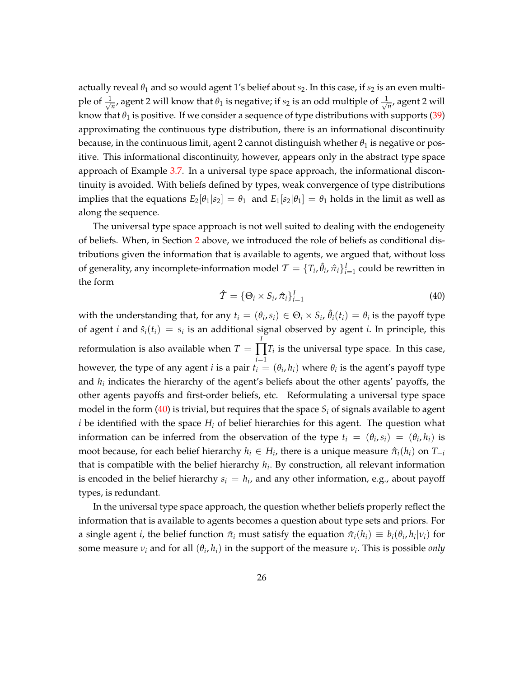actually reveal  $\theta_1$  and so would agent 1's belief about  $s_2$ . In this case, if  $s_2$  is an even multiple of  $\frac{1}{\sqrt{2}}$  $\frac{1}{n}$ , agent 2 will know that  $\theta_1$  is negative; if  $s_2$  is an odd multiple of  $\frac{1}{\sqrt{2}}$  $\frac{1}{n}$ , agent 2 will know that  $\theta_1$  is positive. If we consider a sequence of type distributions with supports [\(39\)](#page-26-1) approximating the continuous type distribution, there is an informational discontinuity because, in the continuous limit, agent 2 cannot distinguish whether *θ*<sup>1</sup> is negative or positive. This informational discontinuity, however, appears only in the abstract type space approach of Example [3.7.](#page-15-0) In a universal type space approach, the informational discontinuity is avoided. With beliefs defined by types, weak convergence of type distributions implies that the equations  $E_2[\theta_1|s_2] = \theta_1$  and  $E_1[s_2|\theta_1] = \theta_1$  holds in the limit as well as along the sequence.

The universal type space approach is not well suited to dealing with the endogeneity of beliefs. When, in Section [2](#page-7-0) above, we introduced the role of beliefs as conditional distributions given the information that is available to agents, we argued that, without loss of generality, any incomplete-information model  $\mathcal{T} = \{T_i, \hat{\theta}_i, \hat{\pi}_i\}_{i=1}^I$  could be rewritten in the form

<span id="page-27-0"></span>
$$
\hat{\mathcal{T}} = \{ \Theta_i \times S_i, \hat{\pi}_i \}_{i=1}^I \tag{40}
$$

with the understanding that, for any  $t_i = (\theta_i, s_i) \in \Theta_i \times S_i$ ,  $\hat{\theta}_i(t_i) = \theta_i$  is the payoff type of agent *i* and  $\hat{s}_i(t_i) = s_i$  is an additional signal observed by agent *i*. In principle, this reformulation is also available when  $T =$ *I*  $\prod T_i$  is the universal type space. In this case, *i*=1 however, the type of any agent *i* is a pair  $t_i = (\theta_i, h_i)$  where  $\theta_i$  is the agent's payoff type and *h<sup>i</sup>* indicates the hierarchy of the agent's beliefs about the other agents' payoffs, the other agents payoffs and first-order beliefs, etc. Reformulating a universal type space model in the form  $(40)$  is trivial, but requires that the space  $S_i$  of signals available to agent *i* be identified with the space *H<sup>i</sup>* of belief hierarchies for this agent. The question what information can be inferred from the observation of the type  $t_i = (\theta_i, s_i) = (\theta_i, h_i)$  is moot because, for each belief hierarchy  $h_i \in H_i$ , there is a unique measure  $\hat{\pi}_i(h_i)$  on  $T_{-i}$ that is compatible with the belief hierarchy *h<sup>i</sup>* . By construction, all relevant information is encoded in the belief hierarchy  $s_i = h_i$ , and any other information, e.g., about payoff types, is redundant.

In the universal type space approach, the question whether beliefs properly reflect the information that is available to agents becomes a question about type sets and priors. For a single agent *i*, the belief function  $\hat{\pi}_i$  must satisfy the equation  $\hat{\pi}_i(h_i) \equiv b_i(\theta_i, h_i | v_i)$  for some measure  $v_i$  and for all  $(\theta_i, h_i)$  in the support of the measure  $v_i$ . This is possible *only*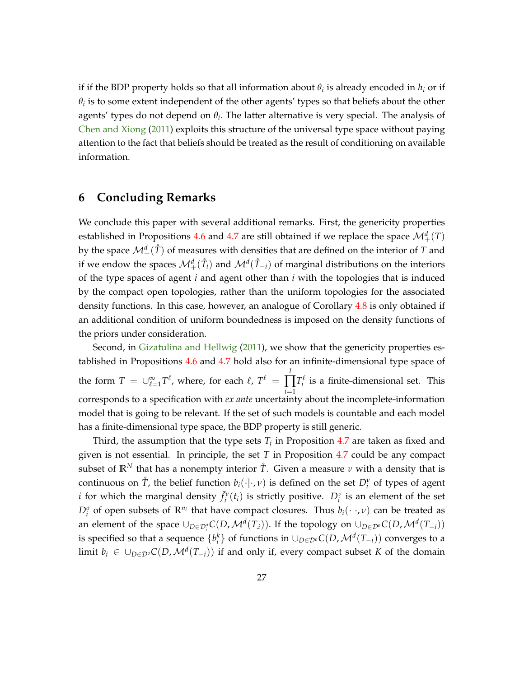<span id="page-28-0"></span>if if the BDP property holds so that all information about  $\theta_i$  is already encoded in  $h_i$  or if  $\theta_i$  is to some extent independent of the other agents' types so that beliefs about the other agents' types do not depend on *θ<sup>i</sup>* . The latter alternative is very special. The analysis of [Chen and Xiong](#page-42-8) [\(2011\)](#page-42-8) exploits this structure of the universal type space without paying attention to the fact that beliefs should be treated as the result of conditioning on available information.

## **6 Concluding Remarks**

We conclude this paper with several additional remarks. First, the genericity properties established in Propositions [4.6](#page-23-0) and [4.7](#page-23-1) are still obtained if we replace the space  $\mathcal{M}^d_+(T)$ by the space  $\mathcal{M}^d_+(\mathring{T})$  of measures with densities that are defined on the interior of *T* and if we endow the spaces  $\mathcal{M}^d_+(\mathring{T}_i)$  and  $\mathcal{M}^d(\mathring{T}_{-i})$  of marginal distributions on the interiors of the type spaces of agent *i* and agent other than *i* with the topologies that is induced by the compact open topologies, rather than the uniform topologies for the associated density functions. In this case, however, an analogue of Corollary [4.8](#page-23-2) is only obtained if an additional condition of uniform boundedness is imposed on the density functions of the priors under consideration.

Second, in [Gizatulina and Hellwig](#page-42-6) [\(2011\)](#page-42-6), we show that the genericity properties established in Propositions [4.6](#page-23-0) and [4.7](#page-23-1) hold also for an infinite-dimensional type space of the form  $T~=~\cup_{\ell=1}^{\infty} T^{\ell}$ , where, for each  $\ell,~T^{\ell}~=~\prod_{\ell=1}^{N}$ ∏ *i*=1  $T_i^{\ell}$  is a finite-dimensional set. This corresponds to a specification with *ex ante* uncertainty about the incomplete-information model that is going to be relevant. If the set of such models is countable and each model has a finite-dimensional type space, the BDP property is still generic.

Third, the assumption that the type sets  $T_i$  in Proposition [4.7](#page-23-1) are taken as fixed and given is not essential. In principle, the set *T* in Proposition [4.7](#page-23-1) could be any compact subset of  $\mathbb{R}^N$  that has a nonempty interior  $\mathring{T}$ . Given a measure  $\nu$  with a density that is continuous on  $\mathring{T}$ , the belief function  $b_i(\cdot|\cdot,v)$  is defined on the set  $D_i^v$  of types of agent *i* for which the marginal density  $\bar{f}_i^v(t_i)$  is strictly positive.  $D_i^v$  is an element of the set  $D_i^o$  of open subsets of  $\mathbb{R}^{n_i}$  that have compact closures. Thus  $b_i(\cdot|\cdot,v)$  can be treated as an element of the space  $\cup_{D \in \mathcal{D}^o_i} C(D, \mathcal{M}^d(T_i))$ . If the topology on  $\cup_{D \in \mathcal{D}^o} C(D, \mathcal{M}^d(T_{-i}))$ is specified so that a sequence  $\{b_i^k\}$  of functions in  $\cup_{D\in \mathcal{D}^o} C(D,\mathcal{M}^d(T_{-i}))$  converges to a limit  $b_i \in \cup_{D \in \mathcal{D}^o} C(D, \mathcal{M}^d(T_{-i}))$  if and only if, every compact subset *K* of the domain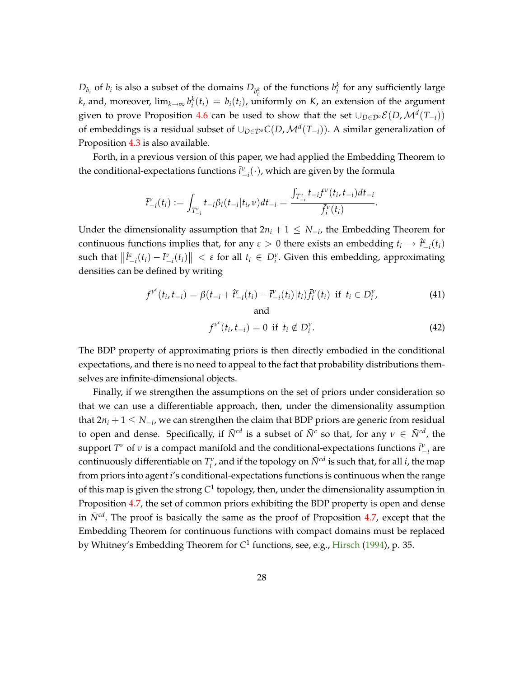<span id="page-29-0"></span> $D_{b_i}$  of  $b_i$  is also a subset of the domains  $D_{b_i^k}$  of the functions  $b_i^k$  for any sufficiently large *i*</sup> *k*, and, moreover,  $\lim_{k\to\infty} b_i^k(t_i) = b_i(t_i)$ , uniformly on *K*, an extension of the argument given to prove Proposition [4.6](#page-23-0) can be used to show that the set  $\cup_{D\in\mathcal{D}^o}\mathcal{E}(D,\mathcal{M}^d(T_{-i}))$ of embeddings is a residual subset of  $\cup_{D \in \mathcal{D}^o} C(D, \mathcal{M}^d(T_{-i}))$ . A similar generalization of Proposition [4.3](#page-19-0) is also available.

Forth, in a previous version of this paper, we had applied the Embedding Theorem to the conditional-expectations functions  $\bar{t}^{\nu}_{-i}(\cdot)$ , which are given by the formula

$$
\bar{t}_{-i}^{\nu}(t_i) := \int_{T_{-i}^{\nu}} t_{-i} \beta_i(t_{-i}|t_i, \nu) dt_{-i} = \frac{\int_{T_{-i}^{\nu}} t_{-i} f^{\nu}(t_i, t_{-i}) dt_{-i}}{\bar{f}_i^{\nu}(t_i)}.
$$

Under the dimensionality assumption that  $2n_i + 1 \leq N_{-i}$ , the Embedding Theorem for continuous functions implies that, for any  $\varepsilon > 0$  there exists an embedding  $t_i \to \hat{t}_{-i}^{\varepsilon}(t_i)$ such that  $||\hat{t}^{\varepsilon}_{-i}(t_i) - \bar{t}^{\nu}_{-i}(t_i)|| < \varepsilon$  for all  $t_i \in D^{\nu}_i$ . Given this embedding, approximating densities can be defined by writing

$$
f^{\nu^{\varepsilon}}(t_i, t_{-i}) = \beta(t_{-i} + \hat{t}_{-i}^{\varepsilon}(t_i) - \bar{t}_{-i}^{\nu}(t_i)|t_i) \bar{f}_i^{\nu}(t_i) \text{ if } t_i \in D_i^{\nu},
$$
\n(41)

$$
f^{\nu^{\varepsilon}}(t_i, t_{-i}) = 0 \text{ if } t_i \notin D_i^{\nu}.
$$
 (42)

The BDP property of approximating priors is then directly embodied in the conditional expectations, and there is no need to appeal to the fact that probability distributions themselves are infinite-dimensional objects.

Finally, if we strengthen the assumptions on the set of priors under consideration so that we can use a differentiable approach, then, under the dimensionality assumption that  $2n_i + 1 \leq N_{-i}$ , we can strengthen the claim that BDP priors are generic from residual to open and dense. Specifically, if  $\bar{N}^{cd}$  is a subset of  $\bar{N}^c$  so that, for any  $\nu \in \bar{N}^{cd}$ , the support  $T^{\nu}$  of  $\nu$  is a compact manifold and the conditional-expectations functions  $\bar{t}^{\nu}_{-i}$  are continuously differentiable on  $T_i^{\nu}$ , and if the topology on  $\bar{N}^{cd}$  is such that, for all *i*, the map from priors into agent *i*'s conditional-expectations functions is continuous when the range of this map is given the strong C<sup>1</sup> topology, then, under the dimensionality assumption in Proposition [4.7,](#page-23-1) the set of common priors exhibiting the BDP property is open and dense in  $\bar{N}^{cd}$ . The proof is basically the same as the proof of Proposition [4.7,](#page-23-1) except that the Embedding Theorem for continuous functions with compact domains must be replaced by Whitney's Embedding Theorem for *C* 1 functions, see, e.g., [Hirsch](#page-42-5) [\(1994\)](#page-42-5), p. 35.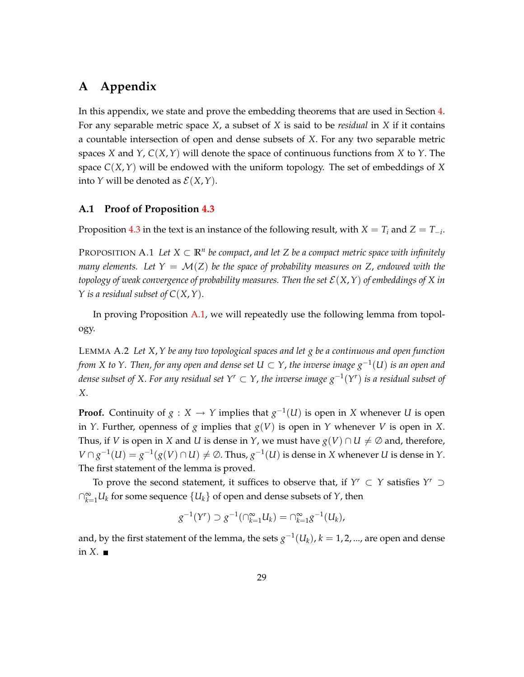## **A Appendix**

In this appendix, we state and prove the embedding theorems that are used in Section [4.](#page-16-0) For any separable metric space *X*, a subset of *X* is said to be *residual* in *X* if it contains a countable intersection of open and dense subsets of *X*. For any two separable metric spaces *X* and *Y*, *C*(*X*,*Y*) will denote the space of continuous functions from *X* to *Y*. The space  $C(X, Y)$  will be endowed with the uniform topology. The set of embeddings of X into *Y* will be denoted as  $\mathcal{E}(X, Y)$ .

#### <span id="page-30-0"></span>**A.1 Proof of Proposition [4.3](#page-19-0)**

<span id="page-30-2"></span>Proposition [4.3](#page-19-0) in the text is an instance of the following result, with  $X = T_i$  and  $Z = T_{-i}$ .

PROPOSITION A.1 Let  $X \subset \mathbb{R}^n$  be compact, and let Z be a compact metric space with infinitely *many elements.* Let  $Y = \mathcal{M}(Z)$  be the space of probability measures on Z, endowed with the *topology of weak convergence of probability measures. Then the set*  $\mathcal{E}(X,Y)$  *of embeddings of* X *in Y is a residual subset of C*(*X*,*Y*).

In proving Proposition [A.1,](#page-30-2) we will repeatedly use the following lemma from topology.

<span id="page-30-1"></span>LEMMA A.2 *Let X*,*Y be any two topological spaces and let g be a continuous and open function from X to Y. Then, for any open and dense set*  $U \subset Y$ *, the inverse image*  $g^{-1}(U)$  *is an open and* dense subset of X. For any residual set  $Y^r \subset Y$ , the inverse image  $g^{-1}(Y^r)$  is a residual subset of *X*.

**Proof.** Continuity of  $g: X \to Y$  implies that  $g^{-1}(U)$  is open in *X* whenever *U* is open in *Y*. Further, openness of *g* implies that *g*(*V*) is open in *Y* whenever *V* is open in *X*. Thus, if *V* is open in *X* and *U* is dense in *Y*, we must have  $g(V) \cap U \neq \emptyset$  and, therefore,  $V \cap g^{-1}(U) = g^{-1}(g(V) \cap U) \neq \emptyset$ . Thus,  $g^{-1}(U)$  is dense in *X* whenever *U* is dense in *Y*. The first statement of the lemma is proved.

To prove the second statement, it suffices to observe that, if  $Y^r \subset Y$  satisfies  $Y^r \supset Y$  $\cap_{k=1}^{\infty} U_k$  for some sequence  $\{U_k\}$  of open and dense subsets of  $Y$ , then

$$
g^{-1}(Y') \supset g^{-1}(\bigcap_{k=1}^{\infty} U_k) = \bigcap_{k=1}^{\infty} g^{-1}(U_k),
$$

and, by the first statement of the lemma, the sets  $g^{-1}(U_k)$ ,  $k=1,2,...$ , are open and dense in  $X$ .  $\blacksquare$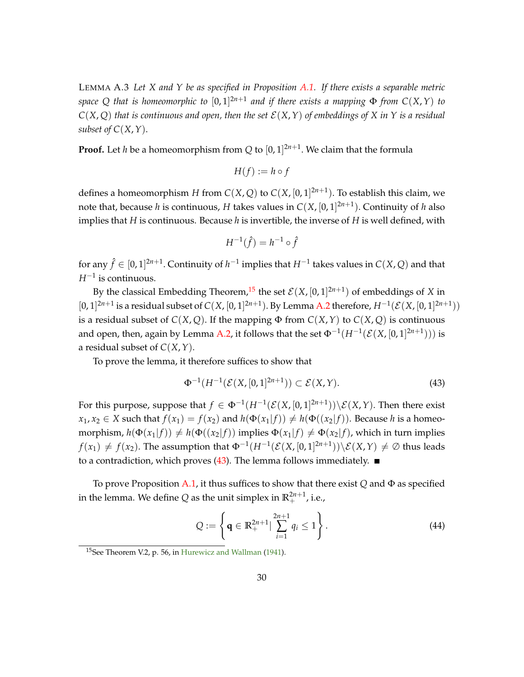<span id="page-31-4"></span><span id="page-31-3"></span>LEMMA A.3 *Let X and Y be as specified in Proposition [A.1.](#page-30-2) If there exists a separable metric space Q that is homeomorphic to*  $[0,1]^{2n+1}$  *and if there exists a mapping*  $\Phi$  *from C*(*X,Y*) *to*  $C(X, Q)$  *that is continuous and open, then the set*  $E(X, Y)$  *of embeddings of* X *in* Y *is a residual subset of C*(*X*,*Y*).

**Proof.** Let *h* be a homeomorphism from  $Q$  to  $[0, 1]^{2n+1}$ . We claim that the formula

$$
H(f) := h \circ f
$$

defines a homeomorphism *H* from  $C(X,Q)$  to  $C(X,[0,1]^{2n+1})$ . To establish this claim, we note that, because *h* is continuous, *H* takes values in *C*(*X*, [0, 1] 2*n*+1 ). Continuity of *h* also implies that *H* is continuous. Because *h* is invertible, the inverse of *H* is well defined, with

$$
H^{-1}(\hat{f}) = h^{-1} \circ \hat{f}
$$

for any  $\hat{f} \in [0, 1]^{2n+1}$ . Continuity of  $h^{-1}$  implies that  $H^{-1}$  takes values in  $C(X, Q)$  and that  $H^{-1}$  is continuous.

By the classical Embedding Theorem,<sup>[15](#page-31-0)</sup> the set  $\mathcal{E}(X, [0, 1]^{2n+1})$  of embeddings of *X* in  $[0, 1]^{2n+1}$  is a residual subset of  $C(X, [0, 1]^{2n+1})$ . By Lemma [A.2](#page-30-1) therefore,  $H^{-1}(\mathcal{E}(X, [0, 1]^{2n+1}))$ is a residual subset of  $C(X, Q)$ . If the mapping  $\Phi$  from  $C(X, Y)$  to  $C(X, Q)$  is continuous and open, then, again by Lemma [A.2,](#page-30-1) it follows that the set  $\Phi^{-1}(H^{-1}(\mathcal{E}(X,[0,1]^{2n+1})))$  is a residual subset of *C*(*X*,*Y*).

To prove the lemma, it therefore suffices to show that

<span id="page-31-1"></span>
$$
\Phi^{-1}(H^{-1}(\mathcal{E}(X,[0,1]^{2n+1})) \subset \mathcal{E}(X,Y). \tag{43}
$$

For this purpose, suppose that  $f \in \Phi^{-1}(H^{-1}(\mathcal{E}(X,[0,1]^{2n+1})) \setminus \mathcal{E}(X,Y)$ . Then there exist  $x_1, x_2 \in X$  such that  $f(x_1) = f(x_2)$  and  $h(\Phi(x_1|f)) \neq h(\Phi((x_2|f))$ . Because *h* is a homeomorphism,  $h(\Phi(x_1|f)) \neq h(\Phi((x_2|f))$  implies  $\Phi(x_1|f) \neq \Phi(x_2|f)$ , which in turn implies  $f(x_1) \neq f(x_2)$ . The assumption that  $\Phi^{-1}(H^{-1}(\mathcal{E}(X,[0,1]^{2n+1}))\setminus \mathcal{E}(X,Y) \neq \emptyset$  thus leads to a contradiction, which proves  $(43)$ . The lemma follows immediately.

To prove Proposition [A.1,](#page-30-2) it thus suffices to show that there exist *Q* and Φ as specified in the lemma. We define  $Q$  as the unit simplex in  $\mathbb{R}^{2n+1}_+$ , i.e.,

<span id="page-31-2"></span>
$$
Q := \left\{ \mathbf{q} \in \mathbb{R}_+^{2n+1} \big| \sum_{i=1}^{2n+1} q_i \le 1 \right\}.
$$
 (44)

<span id="page-31-0"></span><sup>15</sup>See Theorem V.2, p. 56, in [Hurewicz and Wallman](#page-42-4) [\(1941\)](#page-42-4).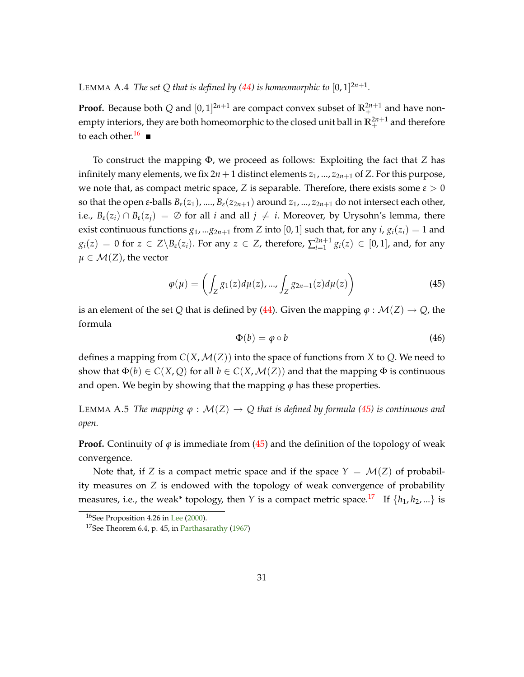<span id="page-32-4"></span>LEMMA A.4 *The set Q that is defined by [\(44\)](#page-31-2) is homeomorphic to*  $[0,1]^{2n+1}$ *.* 

**Proof.** Because both Q and  $[0, 1]^{2n+1}$  are compact convex subset of  $\mathbb{R}^{2n+1}_+$  and have nonempty interiors, they are both homeomorphic to the closed unit ball in  $\mathbb{R}^{2n+1}_+$  and therefore to each other.<sup>[16](#page-32-0)</sup>

To construct the mapping Φ, we proceed as follows: Exploiting the fact that *Z* has infinitely many elements, we fix  $2n + 1$  distinct elements  $z_1$ , ...,  $z_{2n+1}$  of *Z*. For this purpose, we note that, as compact metric space, *Z* is separable. Therefore, there exists some  $\varepsilon > 0$ so that the open *ε*-balls  $B_{\varepsilon}(z_1)$ , ...,  $B_{\varepsilon}(z_{2n+1})$  around  $z_1$ , ...,  $z_{2n+1}$  do not intersect each other, i.e.,  $B_{\varepsilon}(z_i) \cap B_{\varepsilon}(z_j) = \emptyset$  for all *i* and all  $j \neq i$ . Moreover, by Urysohn's lemma, there exist continuous functions  $g_1$ , ... $g_{2n+1}$  from *Z* into [0, 1] such that, for any *i*,  $g_i(z_i) = 1$  and  $g_i(z) = 0$  for  $z \in Z \backslash B_{\varepsilon}(z_i)$ . For any  $z \in Z$ , therefore,  $\sum_{i=1}^{2n+1}$  $g_{i=1}^{2n+1} g_i(z) \in [0,1]$ , and, for any  $\mu \in \mathcal{M}(Z)$ , the vector

<span id="page-32-1"></span>
$$
\varphi(\mu) = \left( \int_{Z} g_1(z) d\mu(z), \dots, \int_{Z} g_{2n+1}(z) d\mu(z) \right) \tag{45}
$$

is an element of the set *Q* that is defined by [\(44\)](#page-31-2). Given the mapping  $\varphi : \mathcal{M}(Z) \to Q$ , the formula

<span id="page-32-3"></span>
$$
\Phi(b) = \varphi \circ b \tag{46}
$$

defines a mapping from  $C(X, \mathcal{M}(Z))$  into the space of functions from X to Q. We need to show that  $\Phi(b) \in C(X, Q)$  for all  $b \in C(X, \mathcal{M}(Z))$  and that the mapping  $\Phi$  is continuous and open. We begin by showing that the mapping  $\varphi$  has these properties.

LEMMA A.5 *The mapping*  $\varphi : \mathcal{M}(Z) \to Q$  that is defined by formula [\(45\)](#page-32-1) is continuous and *open.*

**Proof.** Continuity of  $\varphi$  is immediate from [\(45\)](#page-32-1) and the definition of the topology of weak convergence.

Note that, if *Z* is a compact metric space and if the space  $Y = \mathcal{M}(Z)$  of probability measures on *Z* is endowed with the topology of weak convergence of probability measures, i.e., the weak\* topology, then *Y* is a compact metric space.<sup>[17](#page-32-2)</sup> If  $\{h_1, h_2, ...\}$  is

<span id="page-32-0"></span><sup>&</sup>lt;sup>16</sup>See Proposition 4.26 in [Lee](#page-43-4) [\(2000\)](#page-43-4).

<span id="page-32-2"></span><sup>&</sup>lt;sup>17</sup>See Theorem 6.4, p. 45, in [Parthasarathy](#page-43-5)  $(1967)$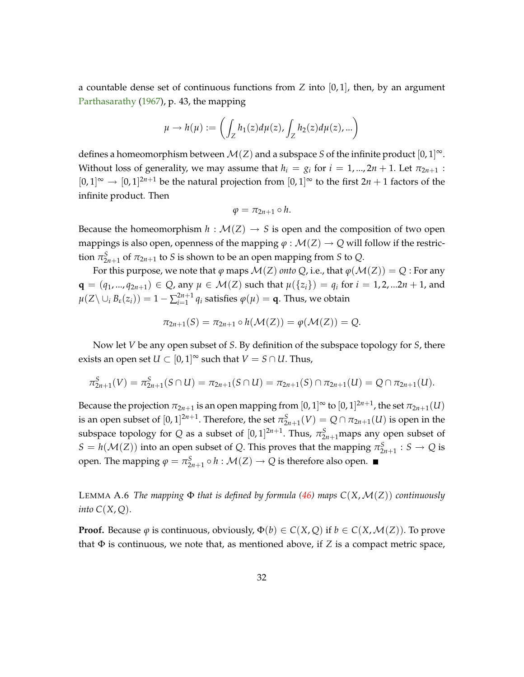<span id="page-33-1"></span>a countable dense set of continuous functions from *Z* into [0, 1], then, by an argument [Parthasarathy](#page-43-5) [\(1967\)](#page-43-5), p. 43, the mapping

$$
\mu \to h(\mu) := \left( \int_Z h_1(z) d\mu(z), \int_Z h_2(z) d\mu(z), \dots \right)
$$

defines a homeomorphism between  $\mathcal{M}(Z)$  and a subspace *S* of the infinite product  $[0,1]^\infty$ . Without loss of generality, we may assume that  $h_i = g_i$  for  $i = 1, ..., 2n + 1$ . Let  $\pi_{2n+1}$ :  $[0,1]$ <sup> $\infty$ </sup>  $\rightarrow$   $[0,1]$ <sup>2*n*+1</sup> be the natural projection from  $[0,1]$ <sup> $\infty$ </sup> to the first 2*n* + 1 factors of the infinite product. Then

$$
\varphi=\pi_{2n+1}\circ h.
$$

Because the homeomorphism  $h : \mathcal{M}(Z) \to S$  is open and the composition of two open mappings is also open, openness of the mapping  $\varphi : \mathcal{M}(Z) \to Q$  will follow if the restriction  $\pi_{2n+1}^S$  of  $\pi_{2n+1}$  to *S* is shown to be an open mapping from *S* to *Q*.

For this purpose, we note that  $\varphi$  maps  $\mathcal{M}(Z)$  *onto*  $Q$ , i.e., that  $\varphi(\mathcal{M}(Z)) = Q$ : For any  ${\bf q} = (q_1, ..., q_{2n+1}) \in Q$ , any  $\mu \in M(Z)$  such that  $\mu({z_i}) = q_i$  for  $i = 1, 2, ...2n + 1$ , and  $\mu(Z \setminus \cup_i B_{\varepsilon}(z_i)) = 1 - \sum_{i=1}^{2n+1}$  $\frac{2n+1}{n+1}$   $q_i$  satisfies  $\varphi(\mu) = \mathbf{q}$ . Thus, we obtain

$$
\pi_{2n+1}(S)=\pi_{2n+1}\circ h(\mathcal{M}(Z))=\varphi(\mathcal{M}(Z))=Q.
$$

Now let *V* be any open subset of *S*. By definition of the subspace topology for *S*, there exists an open set  $U \subset [0, 1]^\infty$  such that  $V = S \cap U$ . Thus,

$$
\pi_{2n+1}^S(V)=\pi_{2n+1}^S(S\cap U)=\pi_{2n+1}(S\cap U)=\pi_{2n+1}(S)\cap \pi_{2n+1}(U)=Q\cap \pi_{2n+1}(U).
$$

Because the projection  $\pi_{2n+1}$  is an open mapping from  $[0,1]^\infty$  to  $[0,1]^{2n+1}$ , the set  $\pi_{2n+1}(U)$ is an open subset of  $[0,1]^{2n+1}$ . Therefore, the set  $\pi_{2n+1}^S(V) = Q \cap \pi_{2n+1}(U)$  is open in the subspace topology for *Q* as a subset of  $[0,1]^{2n+1}$ . Thus,  $\pi_{2n+1}^S$ maps any open subset of  $S = h(\mathcal{M}(Z))$  into an open subset of *Q*. This proves that the mapping  $\pi_{2n+1}^S : S \to Q$  is open. The mapping  $\varphi = \pi_{2n+1}^S \circ h : \mathcal{M}(Z) \to Q$  is therefore also open.

<span id="page-33-0"></span>LEMMA A.6 *The mapping*  $\Phi$  *that is defined by formula* [\(46\)](#page-32-3) *maps*  $C(X, \mathcal{M}(Z))$  *continuously into C*(*X*, *Q*).

**Proof.** Because  $\varphi$  is continuous, obviously,  $\Phi(b) \in C(X, Q)$  if  $b \in C(X, \mathcal{M}(Z))$ . To prove that  $\Phi$  is continuous, we note that, as mentioned above, if *Z* is a compact metric space,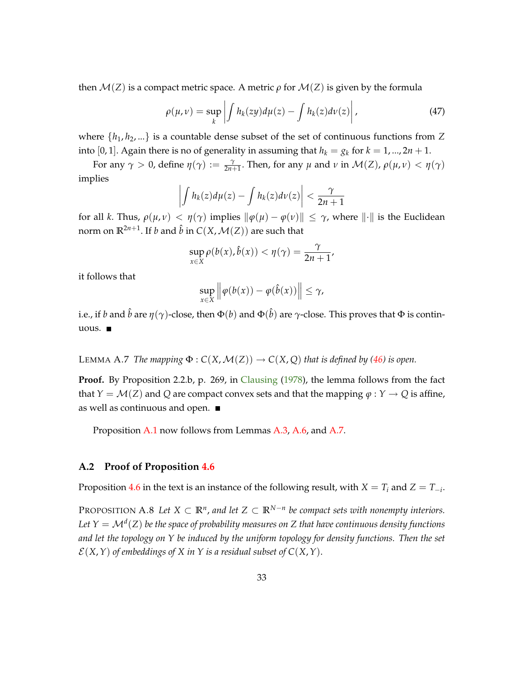<span id="page-34-3"></span>then  $\mathcal{M}(Z)$  is a compact metric space. A metric  $\rho$  for  $\mathcal{M}(Z)$  is given by the formula

$$
\rho(\mu,\nu) = \sup_{k} \left| \int h_k(zy) d\mu(z) - \int h_k(z) d\nu(z) \right|, \tag{47}
$$

where  $\{h_1, h_2, ...\}$  is a countable dense subset of the set of continuous functions from Z into [0, 1]. Again there is no of generality in assuming that  $h_k = g_k$  for  $k = 1, ..., 2n + 1$ .

For any  $\gamma > 0$ , define  $\eta(\gamma) := \frac{\gamma}{2n+1}$ . Then, for any  $\mu$  and  $\nu$  in  $\mathcal{M}(Z)$ ,  $\rho(\mu, \nu) < \eta(\gamma)$ implies

$$
\left|\int h_k(z)d\mu(z)-\int h_k(z)d\nu(z)\right|<\frac{\gamma}{2n+1}
$$

for all *k*. Thus,  $\rho(\mu, \nu) < \eta(\gamma)$  implies  $\|\varphi(\mu) - \varphi(\nu)\| \leq \gamma$ , where  $\|\cdot\|$  is the Euclidean norm on  $\mathbb{R}^{2n+1}$ . If *b* and  $\hat{b}$  in  $C(X, \mathcal{M}(Z))$  are such that

$$
\sup_{x\in X}\rho(b(x),\hat{b}(x))<\eta(\gamma)=\frac{\gamma}{2n+1},
$$

it follows that

$$
\sup_{x\in X} \left\|\varphi(b(x)) - \varphi(\hat{b}(x))\right\| \leq \gamma,
$$

i.e., if  $b$  and  $\hat{b}$  are  $\eta(\gamma)$ -close, then  $\Phi(b)$  and  $\Phi(\hat{b})$  are  $\gamma$ -close. This proves that  $\Phi$  is continuous.

<span id="page-34-1"></span>LEMMA A.7 *The mapping*  $\Phi$  :  $C(X, \mathcal{M}(Z)) \to C(X, Q)$  *that is defined by [\(46\)](#page-32-3) is open.* 

**Proof.** By Proposition 2.2.b, p. 269, in [Clausing](#page-42-12) [\(1978\)](#page-42-12), the lemma follows from the fact that *Y* =  $\mathcal{M}(Z)$  and *Q* are compact convex sets and that the mapping  $\varphi : Y \to Q$  is affine, as well as continuous and open.

Proposition [A.1](#page-30-2) now follows from Lemmas [A.3,](#page-31-3) [A.6,](#page-33-0) and [A.7.](#page-34-1)

#### <span id="page-34-0"></span>**A.2 Proof of Proposition [4.6](#page-23-0)**

<span id="page-34-2"></span>Proposition [4.6](#page-23-0) in the text is an instance of the following result, with  $X = T_i$  and  $Z = T_{-i}$ .

PROPOSITION A.8 Let  $X \subset \mathbb{R}^n$ , and let  $Z \subset \mathbb{R}^{N-n}$  be compact sets with nonempty interiors. *Let Y* <sup>=</sup> <sup>M</sup>*<sup>d</sup>* (*Z*) *be the space of probability measures on Z that have continuous density functions and let the topology on Y be induced by the uniform topology for density functions. Then the set*  $\mathcal{E}(X, Y)$  of embeddings of X in Y is a residual subset of  $C(X, Y)$ .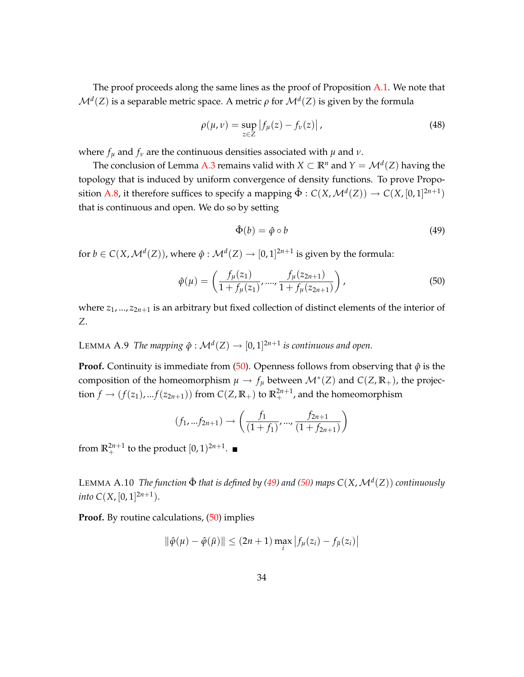The proof proceeds along the same lines as the proof of Proposition [A.1.](#page-30-2) We note that  $\mathcal{M}^d(Z)$  is a separable metric space. A metric  $\rho$  for  $\mathcal{M}^d(Z)$  is given by the formula

$$
\rho(\mu, \nu) = \sup_{z \in Z} |f_{\mu}(z) - f_{\nu}(z)|,
$$
\n(48)

where  $f_\mu$  and  $f_\nu$  are the continuous densities associated with  $\mu$  and  $\nu$ .

The conclusion of Lemma [A.3](#page-31-3) remains valid with  $X \subset \mathbb{R}^n$  and  $Y = \mathcal{M}^d(Z)$  having the topology that is induced by uniform convergence of density functions. To prove Propo-sition [A.8,](#page-34-2) it therefore suffices to specify a mapping  $\hat{\Phi}: C(X, \mathcal{M}^d(Z)) \to C(X, [0, 1]^{2n+1})$ that is continuous and open. We do so by setting

<span id="page-35-1"></span>
$$
\hat{\Phi}(b) = \hat{\varphi} \circ b \tag{49}
$$

for  $b \in C(X, \mathcal{M}^d(Z))$ , where  $\hat{\varphi}: \mathcal{M}^d(Z) \to [0, 1]^{2n+1}$  is given by the formula:

<span id="page-35-0"></span>
$$
\hat{\varphi}(\mu) = \left(\frac{f_{\mu}(z_1)}{1 + f_{\mu}(z_1)}, \dots, \frac{f_{\mu}(z_{2n+1})}{1 + f_{\mu}(z_{2n+1})}\right),\tag{50}
$$

where  $z_1$ , ...,  $z_{2n+1}$  is an arbitrary but fixed collection of distinct elements of the interior of *Z*.

LEMMA A.9 *The mapping*  $\hat{\varphi}: \mathcal{M}^d(Z) \to [0, 1]^{2n+1}$  *is continuous and open.* 

**Proof.** Continuity is immediate from  $(50)$ . Openness follows from observing that  $\hat{\varphi}$  is the composition of the homeomorphism  $\mu \to f_{\mu}$  between  $\mathcal{M}^*(Z)$  and  $C(Z, \mathbb{R}_+)$ , the projection  $f \rightarrow (f(z_1), ... f(z_{2n+1}))$  from  $C(Z, \mathbb{R}_+)$  to  $\mathbb{R}^{2n+1}_+$ , and the homeomorphism

$$
(f_1, ... f_{2n+1}) \rightarrow \left(\frac{f_1}{(1+f_1)}, ..., \frac{f_{2n+1}}{(1+f_{2n+1})}\right)
$$

from  $\mathbb{R}^{2n+1}_+$  to the product  $[0, 1)^{2n+1}$ .

LEMMA  $A.10$  *The function*  $\hat{\Phi}$  *that is defined by [\(49\)](#page-35-1) and [\(50\)](#page-35-0) maps*  $C(X, \mathcal{M}^d(Z))$  *continuously into*  $C(X, [0, 1]^{2n+1})$ .

**Proof.** By routine calculations, [\(50\)](#page-35-0) implies

$$
\|\hat{\varphi}(\mu) - \hat{\varphi}(\bar{\mu})\| \le (2n+1) \max_{i} |f_{\mu}(z_i) - f_{\bar{\mu}}(z_i)|
$$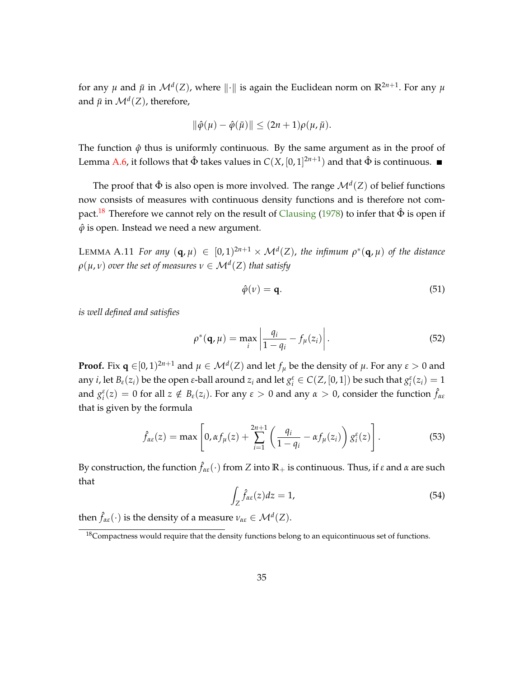<span id="page-36-6"></span>for any  $\mu$  and  $\bar{\mu}$  in  $\mathcal{M}^d(Z)$ , where  $\|\cdot\|$  is again the Euclidean norm on  $\mathbb{R}^{2n+1}$ . For any  $\mu$ and  $\bar{\mu}$  in  $\mathcal{M}^d(Z)$ , therefore,

$$
\|\hat{\varphi}(\mu)-\hat{\varphi}(\bar{\mu})\|\leq (2n+1)\rho(\mu,\bar{\mu}).
$$

The function  $\hat{\varphi}$  thus is uniformly continuous. By the same argument as in the proof of Lemma [A.6,](#page-33-0) it follows that  $\hat{\Phi}$  takes values in  $C(X,[0,1]^{2n+1})$  and that  $\hat{\Phi}$  is continuous.

The proof that  $\hat{\Phi}$  is also open is more involved. The range  $\mathcal{M}^d(Z)$  of belief functions now consists of measures with continuous density functions and is therefore not com-pact.<sup>[18](#page-36-0)</sup> Therefore we cannot rely on the result of [Clausing](#page-42-12) [\(1978\)](#page-42-12) to infer that  $\hat{\Phi}$  is open if  $\hat{\varphi}$  is open. Instead we need a new argument.

<span id="page-36-5"></span>LEMMA A.11 *For any*  $(q, \mu) \in [0, 1)^{2n+1} \times \mathcal{M}^d(Z)$ , the infimum  $\rho^*(q, \mu)$  of the distance  $\rho(\mu, \nu)$  *over the set of measures*  $\nu \in \mathcal{M}^d(Z)$  *that satisfy* 

<span id="page-36-3"></span>
$$
\hat{\varphi}(\nu) = \mathbf{q}.\tag{51}
$$

*is well defined and satisfies*

<span id="page-36-4"></span>
$$
\rho^*(\mathbf{q}, \mu) = \max_i \left| \frac{q_i}{1 - q_i} - f_\mu(z_i) \right|.
$$
\n(52)

**Proof.** Fix  $\mathbf{q} \in [0, 1)^{2n+1}$  and  $\mu \in \mathcal{M}^d(Z)$  and let  $f_\mu$  be the density of  $\mu$ . For any  $\varepsilon > 0$  and any *i*, let  $B_{\varepsilon}(z_i)$  be the open  $\varepsilon$ -ball around  $z_i$  and let  $g_i^{\varepsilon} \in C(Z, [0, 1])$  be such that  $g_i^{\varepsilon}(z_i) = 1$ and  $g_i^{\varepsilon}(z) = 0$  for all  $z \notin B_{\varepsilon}(z_i)$ . For any  $\varepsilon > 0$  and any  $\alpha > 0$ , consider the function  $\hat{f}_{\alpha \varepsilon}$ that is given by the formula

<span id="page-36-2"></span>
$$
\hat{f}_{\alpha\varepsilon}(z) = \max\left[0, \alpha f_{\mu}(z) + \sum_{i=1}^{2n+1} \left(\frac{q_i}{1-q_i} - \alpha f_{\mu}(z_i)\right) g_i^{\varepsilon}(z)\right].
$$
\n(53)

By construction, the function  $\hat{f}_{\alpha\varepsilon}(\cdot)$  from *Z* into  $\mathbb{R}_+$  is continuous. Thus, if  $\varepsilon$  and  $\alpha$  are such that

<span id="page-36-1"></span>
$$
\int_{Z} \hat{f}_{\alpha \varepsilon}(z) dz = 1,\tag{54}
$$

then  $\hat{f}_{\alpha\epsilon}(\cdot)$  is the density of a measure  $\nu_{\alpha\epsilon} \in \mathcal{M}^d(Z)$ .

<span id="page-36-0"></span><sup>&</sup>lt;sup>18</sup>Compactness would require that the density functions belong to an equicontinuous set of functions.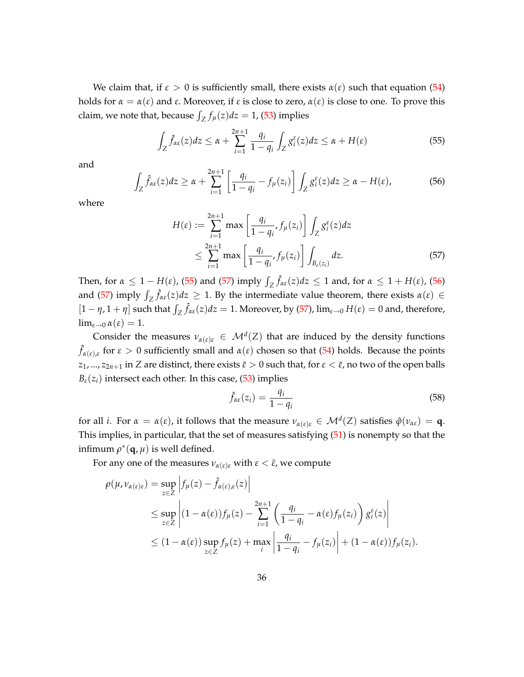We claim that, if  $\varepsilon > 0$  is sufficiently small, there exists  $\alpha(\varepsilon)$  such that equation [\(54\)](#page-36-1) holds for  $\alpha = \alpha(\varepsilon)$  and  $\varepsilon$ . Moreover, if  $\varepsilon$  is close to zero,  $\alpha(\varepsilon)$  is close to one. To prove this claim, we note that, because  $\int_Z f_\mu(z) dz = 1$ , [\(53\)](#page-36-2) implies

<span id="page-37-0"></span>
$$
\int_{Z} \hat{f}_{\alpha\varepsilon}(z)dz \leq \alpha + \sum_{i=1}^{2n+1} \frac{q_i}{1-q_i} \int_{Z} g_i^{\varepsilon}(z)dz \leq \alpha + H(\varepsilon)
$$
\n(55)

and

<span id="page-37-2"></span>
$$
\int_{Z} \hat{f}_{\alpha\varepsilon}(z)dz \geq \alpha + \sum_{i=1}^{2n+1} \left[ \frac{q_i}{1-q_i} - f_{\mu}(z_i) \right] \int_{Z} g_i^{\varepsilon}(z)dz \geq \alpha - H(\varepsilon), \tag{56}
$$

where

$$
H(\varepsilon) := \sum_{i=1}^{2n+1} \max\left[\frac{q_i}{1-q_i}, f_\mu(z_i)\right] \int_Z g_i^{\varepsilon}(z) dz
$$
  

$$
\leq \sum_{i=1}^{2n+1} \max\left[\frac{q_i}{1-q_i}, f_\mu(z_i)\right] \int_{B_{\varepsilon}(z_i)} dz.
$$
 (57)

Then, for  $\alpha \leq 1 - H(\varepsilon)$ , [\(55\)](#page-37-0) and [\(57\)](#page-37-1) imply  $\int_Z \hat{f}_{\alpha\varepsilon}(z)dz \leq 1$  and, for  $\alpha \leq 1 + H(\varepsilon)$ , [\(56\)](#page-37-2) and [\(57\)](#page-37-1) imply  $\int_Z \hat{f}_{\alpha \epsilon}(z) dz \geq 1$ . By the intermediate value theorem, there exists  $\alpha(\epsilon) \in$  $[1 - \eta, 1 + \eta]$  such that  $\int_Z \hat{f}_{\alpha \epsilon}(z) dz = 1$ . Moreover, by [\(57\)](#page-37-1),  $\lim_{\epsilon \to 0} H(\epsilon) = 0$  and, therefore,  $\lim_{\varepsilon \to 0} \alpha(\varepsilon) = 1.$ 

Consider the measures  $\nu_{\alpha(\varepsilon)\varepsilon} \in \mathcal{M}^d(Z)$  that are induced by the density functions  $\hat{f}_{\alpha(\varepsilon),\varepsilon}$  for  $\varepsilon > 0$  sufficiently small and  $\alpha(\varepsilon)$  chosen so that [\(54\)](#page-36-1) holds. Because the points *z*<sub>1</sub>, ..., *z*<sub>2*n*+1</sub> in *Z* are distinct, there exists  $\bar{\varepsilon} > 0$  such that, for  $\varepsilon < \bar{\varepsilon}$ , no two of the open balls  $B_{\varepsilon}(z_i)$  intersect each other. In this case, [\(53\)](#page-36-2) implies

<span id="page-37-1"></span>
$$
\hat{f}_{\alpha\varepsilon}(z_i) = \frac{q_i}{1 - q_i} \tag{58}
$$

for all *i*. For  $\alpha = \alpha(\varepsilon)$ , it follows that the measure  $\nu_{\alpha(\varepsilon)\varepsilon} \in \mathcal{M}^d(Z)$  satisfies  $\hat{\varphi}(\nu_{\alpha\varepsilon}) = \mathbf{q}$ . This implies, in particular, that the set of measures satisfying [\(51\)](#page-36-3) is nonempty so that the infimum  $\rho^*(\mathbf{q},\mu)$  is well defined.

For any one of the measures  $\nu_{\alpha(\varepsilon)\varepsilon}$  with  $\varepsilon < \bar{\varepsilon}$ , we compute

$$
\rho(\mu, \nu_{\alpha(\varepsilon)\varepsilon}) = \sup_{z \in Z} \left| f_{\mu}(z) - \hat{f}_{\alpha(\varepsilon),\varepsilon}(z) \right|
$$
  
\n
$$
\leq \sup_{z \in Z} \left| (1 - \alpha(\varepsilon)) f_{\mu}(z) - \sum_{i=1}^{2n+1} \left( \frac{q_i}{1 - q_i} - \alpha(\varepsilon) f_{\mu}(z_i) \right) g_i^{\varepsilon}(z) \right|
$$
  
\n
$$
\leq (1 - \alpha(\varepsilon)) \sup_{z \in Z} f_{\mu}(z) + \max_{i} \left| \frac{q_i}{1 - q_i} - f_{\mu}(z_i) \right| + (1 - \alpha(\varepsilon)) f_{\mu}(z_i).
$$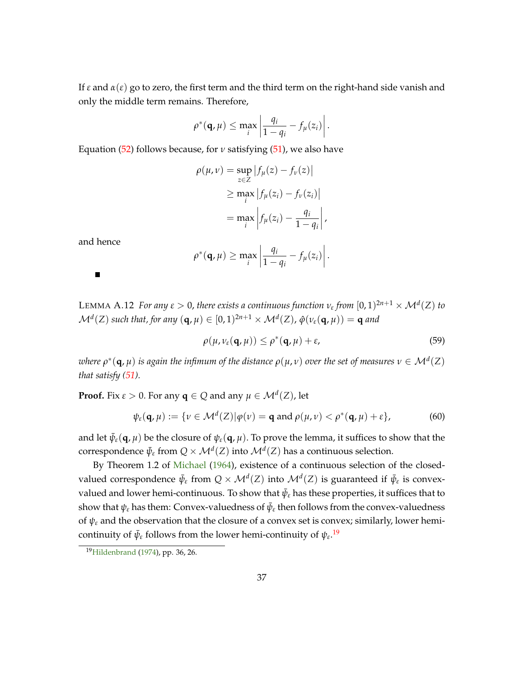<span id="page-38-2"></span>If  $\varepsilon$  and  $\alpha(\varepsilon)$  go to zero, the first term and the third term on the right-hand side vanish and only the middle term remains. Therefore,

$$
\rho^*(\mathbf{q},\mu) \leq \max_i \left| \frac{q_i}{1-q_i} - f_{\mu}(z_i) \right|.
$$

Equation [\(52\)](#page-36-4) follows because, for *ν* satisfying [\(51\)](#page-36-3), we also have

$$
\rho(\mu, \nu) = \sup_{z \in Z} |f_{\mu}(z) - f_{\nu}(z)|
$$
  
\n
$$
\geq \max_{i} |f_{\mu}(z_{i}) - f_{\nu}(z_{i})|
$$
  
\n
$$
= \max_{i} |f_{\mu}(z_{i}) - \frac{q_{i}}{1 - q_{i}}|,
$$

and hence

 $\blacksquare$ 

$$
\rho^*(\mathbf{q},\mu) \geq \max_i \left|\frac{q_i}{1-q_i} - f_{\mu}(z_i)\right|.
$$

<span id="page-38-1"></span>LEMMA A.12 *For any*  $\varepsilon > 0$ , there exists a continuous function  $v_{\varepsilon}$  from  $[0,1)^{2n+1} \times \mathcal{M}^d(Z)$  to  $\mathcal{M}^d(Z)$  such that, for any  $(q, \mu) \in [0, 1)^{2n+1} \times \mathcal{M}^d(Z)$ ,  $\hat{\varphi}(\nu_{\varepsilon}(q, \mu)) = q$  and

$$
\rho(\mu, \nu_{\varepsilon}(\mathbf{q}, \mu)) \leq \rho^*(\mathbf{q}, \mu) + \varepsilon,\tag{59}
$$

 $\omega$ here  $\rho^*(\mathbf{q},\mu)$  *is again the infimum of the distance*  $\rho(\mu,\nu)$  *over the set of measures*  $\nu \in \mathcal{M}^d(Z)$ *that satisfy [\(51\)](#page-36-3).*

**Proof.** Fix  $\varepsilon > 0$ . For any  $\mathbf{q} \in Q$  and any  $\mu \in \mathcal{M}^d(Z)$ , let

$$
\psi_{\varepsilon}(\mathbf{q},\mu) := \{ \nu \in \mathcal{M}^d(Z) | \varphi(\nu) = \mathbf{q} \text{ and } \rho(\mu,\nu) < \rho^*(\mathbf{q},\mu) + \varepsilon \},\tag{60}
$$

and let  $\bar{\psi}_{\epsilon}(\mathbf{q},\mu)$  be the closure of  $\psi_{\epsilon}(\mathbf{q},\mu)$ . To prove the lemma, it suffices to show that the correspondence  $\bar{\psi}_{\varepsilon}$  from  $Q \times \mathcal{M}^d(Z)$  into  $\mathcal{M}^d(Z)$  has a continuous selection.

By Theorem 1.2 of [Michael](#page-43-6) [\(1964\)](#page-43-6), existence of a continuous selection of the closedvalued correspondence  $\bar{\psi}_{\varepsilon}$  from  $Q \times \mathcal{M}^d(Z)$  into  $\mathcal{M}^d(Z)$  is guaranteed if  $\bar{\psi}_{\varepsilon}$  is convexvalued and lower hemi-continuous. To show that  $\bar{\psi}_{\varepsilon}$  has these properties, it suffices that to show that  $\psi_{\varepsilon}$  has them: Convex-valuedness of  $\bar{\psi}_{\varepsilon}$  then follows from the convex-valuedness of  $\psi_{\varepsilon}$  and the observation that the closure of a convex set is convex; similarly, lower hemicontinuity of  $\bar{\psi}_{\varepsilon}$  follows from the lower hemi-continuity of  $\psi_{\varepsilon}$ .<sup>[19](#page-38-0)</sup>

<span id="page-38-0"></span><sup>19</sup>[Hildenbrand](#page-42-13) [\(1974\)](#page-42-13), pp. 36, 26.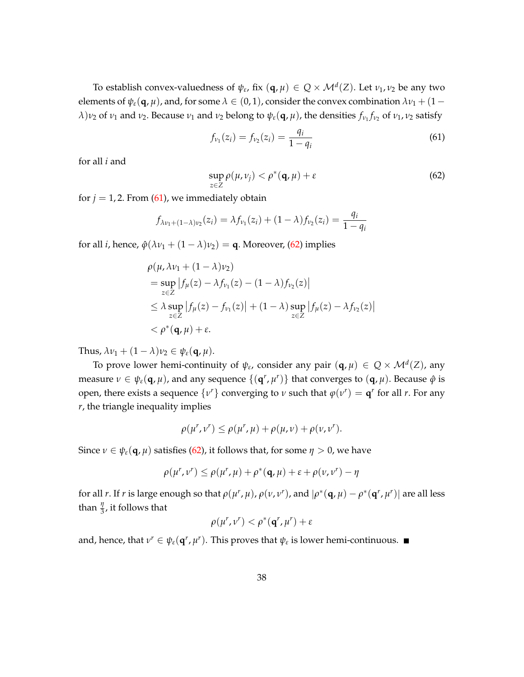To establish convex-valuedness of  $\psi_{\varepsilon}$ , fix  $(q, \mu) \in Q \times \mathcal{M}^d(Z)$ . Let  $\nu_1, \nu_2$  be any two elements of  $\psi_{\varepsilon}(\mathbf{q},\mu)$ , and, for some  $\lambda \in (0,1)$ , consider the convex combination  $\lambda \nu_1 + (1 - \mu_1)$ *λ*)*ν*<sub>2</sub> of *ν*<sub>1</sub> and *ν*<sub>2</sub>. Because *ν*<sub>1</sub> and *ν*<sub>2</sub> belong to  $ψ_ε$ (**q**,  $μ$ ), the densities  $f_{ν_1}f_{ν_2}$  of  $ν_1$ ,  $ν_2$  satisfy

<span id="page-39-0"></span>
$$
f_{\nu_1}(z_i) = f_{\nu_2}(z_i) = \frac{q_i}{1 - q_i} \tag{61}
$$

for all *i* and

<span id="page-39-1"></span>
$$
\sup_{z\in Z}\rho(\mu,\nu_j)<\rho^*(\mathbf{q},\mu)+\varepsilon\tag{62}
$$

for  $j = 1, 2$ . From [\(61\)](#page-39-0), we immediately obtain

$$
f_{\lambda v_1 + (1-\lambda)v_2}(z_i) = \lambda f_{v_1}(z_i) + (1-\lambda)f_{v_2}(z_i) = \frac{q_i}{1-q_i}
$$

for all *i*, hence,  $\hat{\varphi}(\lambda \nu_1 + (1 - \lambda)\nu_2) =$ **q**. Moreover, [\(62\)](#page-39-1) implies

$$
\rho(\mu, \lambda \nu_1 + (1 - \lambda)\nu_2)
$$
\n
$$
= \sup_{z \in Z} |f_{\mu}(z) - \lambda f_{\nu_1}(z) - (1 - \lambda)f_{\nu_2}(z)|
$$
\n
$$
\leq \lambda \sup_{z \in Z} |f_{\mu}(z) - f_{\nu_1}(z)| + (1 - \lambda) \sup_{z \in Z} |f_{\mu}(z) - \lambda f_{\nu_2}(z)|
$$
\n
$$
< \rho^*(\mathbf{q}, \mu) + \varepsilon.
$$

Thus,  $\lambda v_1 + (1 - \lambda)v_2 \in \psi_{\varepsilon}(\mathbf{q}, \mu)$ .

To prove lower hemi-continuity of  $\psi_{\varepsilon}$ , consider any pair  $(\mathbf{q}, \mu) \in Q \times \mathcal{M}^d(Z)$ , any measure  $\nu \in \psi_{\varepsilon}(\mathbf{q},\mu)$ , and any sequence  $\{(\mathbf{q}^r,\mu^r)\}\)$  that converges to  $(\mathbf{q},\mu)$ . Because  $\hat{\varphi}$  is open, there exists a sequence  $\{v^r\}$  converging to  $v$  such that  $\varphi(v^r) = \mathbf{q}^r$  for all  $r$ . For any *r*, the triangle inequality implies

$$
\rho(\mu^r, \nu^r) \leq \rho(\mu^r, \mu) + \rho(\mu, \nu) + \rho(\nu, \nu^r).
$$

Since *ν* ∈  $ψ_ε$ (**q**, *μ*) satisfies [\(62\)](#page-39-1), it follows that, for some *η* > 0, we have

$$
\rho(\mu^r, \nu^r) \leq \rho(\mu^r, \mu) + \rho^*(\mathbf{q}, \mu) + \varepsilon + \rho(\nu, \nu^r) - \eta
$$

for all r. If r is large enough so that  $\rho(\mu^r, \mu)$ ,  $\rho(\nu, \nu^r)$ , and  $|\rho^*(\mathbf{q}, \mu) - \rho^*(\mathbf{q}^r, \mu^r)|$  are all less than  $\frac{\eta}{3}$ , it follows that

$$
\rho(\mu^r,\nu^r)<\rho^*(\mathbf{q}^r,\mu^r)+\varepsilon
$$

and, hence, that  $v^r \in \psi_{\varepsilon}(\mathbf{q}^r, \mu^r)$ . This proves that  $\psi_{\varepsilon}$  is lower hemi-continuous.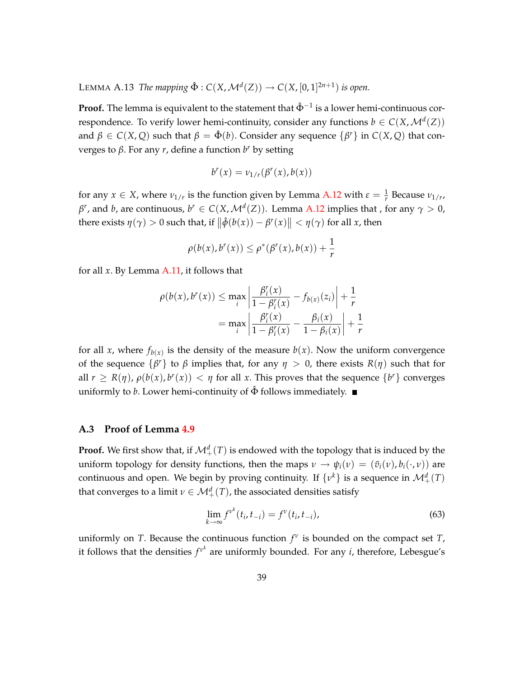LEMMA A.13 *The mapping*  $\hat{\Phi}$  : *C*(*X*, *M*<sup>*d*</sup>(*Z*)) → *C*(*X*, [0, 1]<sup>2*n*+1</sup>) *is open.* 

**Proof.** The lemma is equivalent to the statement that  $\hat{\Phi}^{-1}$  is a lower hemi-continuous correspondence. To verify lower hemi-continuity, consider any functions  $b \in C(X, \mathcal{M}^d(Z))$ and  $\beta \in C(X, Q)$  such that  $\beta = \hat{\Phi}(b)$ . Consider any sequence  $\{\beta^r\}$  in  $C(X, Q)$  that converges to *β*. For any *r*, define a function *b <sup>r</sup>* by setting

$$
b^r(x) = \nu_{1/r}(\beta^r(x), b(x))
$$

for any  $x \in X$ , where  $v_{1/r}$  is the function given by Lemma [A.12](#page-38-1) with  $\varepsilon = \frac{1}{r}$  Because  $v_{1/r}$ , *β<sup>r</sup>*, and *b*, are continuous,  $b^r \in C(X, \mathcal{M}^d(Z))$ . Lemma [A.12](#page-38-1) implies that , for any  $\gamma > 0$ , there exists  $\eta(\gamma) > 0$  such that, if  $\left\| \hat{\phi}(b(x)) - \beta^{r}(x) \right\| < \eta(\gamma)$  for all *x*, then

$$
\rho(b(x),b^r(x)) \leq \rho^*(\beta^r(x),b(x)) + \frac{1}{r}
$$

for all *x*. By Lemma [A.11,](#page-36-5) it follows that

$$
\rho(b(x), b^{r}(x)) \le \max_{i} \left| \frac{\beta_{i}^{r}(x)}{1 - \beta_{i}^{r}(x)} - f_{b(x)}(z_{i}) \right| + \frac{1}{r}
$$

$$
= \max_{i} \left| \frac{\beta_{i}^{r}(x)}{1 - \beta_{i}^{r}(x)} - \frac{\beta_{i}(x)}{1 - \beta_{i}(x)} \right| + \frac{1}{r}
$$

for all *x*, where  $f_{b(x)}$  is the density of the measure  $b(x)$ . Now the uniform convergence of the sequence  $\{\beta^r\}$  to  $\beta$  implies that, for any  $\eta > 0$ , there exists  $R(\eta)$  such that for all  $r \ge R(\eta)$ ,  $\rho(b(x), b^r(x)) < \eta$  for all *x*. This proves that the sequence  $\{b^r\}$  converges uniformly to *b*. Lower hemi-continuity of  $\hat{\Phi}$  follows immediately.

#### <span id="page-40-0"></span>**A.3 Proof of Lemma [4.9](#page-24-1)**

**Proof.** We first show that, if  $\mathcal{M}^d_+(T)$  is endowed with the topology that is induced by the uniform topology for density functions, then the maps  $v \to \psi_i(v) = (\bar{v}_i(v), b_i(\cdot, v))$  are continuous and open. We begin by proving continuity. If  $\{v^k\}$  is a sequence in  $\mathcal{M}^d_+(T)$ that converges to a limit  $\nu \in \mathcal{M}^d_+(T)$ , the associated densities satisfy

<span id="page-40-1"></span>
$$
\lim_{k \to \infty} f^{\nu^k}(t_i, t_{-i}) = f^{\nu}(t_i, t_{-i}), \tag{63}
$$

uniformly on *T*. Because the continuous function *f ν* is bounded on the compact set *T*, it follows that the densities  $f^{\nu^k}$  are uniformly bounded. For any *i*, therefore, Lebesgue's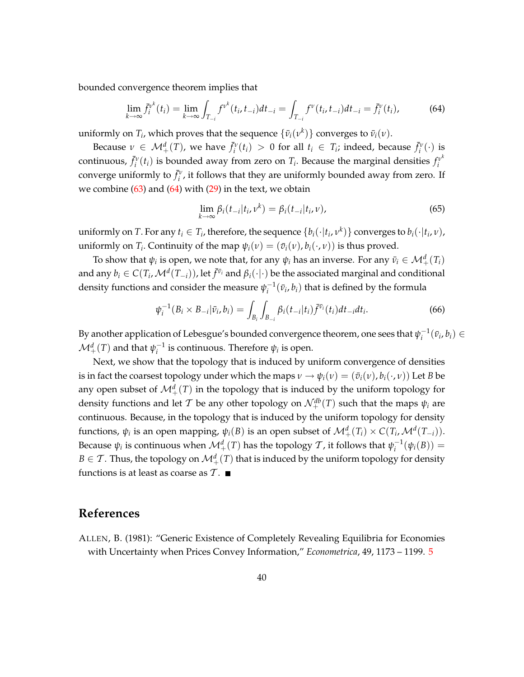bounded convergence theorem implies that

<span id="page-41-1"></span>
$$
\lim_{k \to \infty} \bar{f}_i^{\nu^k}(t_i) = \lim_{k \to \infty} \int_{T_{-i}} f^{\nu^k}(t_i, t_{-i}) dt_{-i} = \int_{T_{-i}} f^{\nu}(t_i, t_{-i}) dt_{-i} = \bar{f}_i^{\nu}(t_i),
$$
(64)

uniformly on  $T_i$ , which proves that the sequence  $\{\bar{v}_i(v^k)\}$  converges to  $\bar{v}_i(v)$ .

Because  $v \in M^d_+(T)$ , we have  $\bar{f}^v_i(t_i) > 0$  for all  $t_i \in T_i$ ; indeed, because  $\bar{f}^v_i(\cdot)$  is continuous,  $\bar{f}_i^v(t_i)$  is bounded away from zero on  $T_i$ . Because the marginal densities  $f_i^{v^k}$ *i* converge uniformly to  $\bar{f}_i^{\nu}$ , it follows that they are uniformly bounded away from zero. If we combine  $(63)$  and  $(64)$  with  $(29)$  in the text, we obtain

$$
\lim_{k \to \infty} \beta_i(t_{-i}|t_i, \nu^k) = \beta_i(t_{-i}|t_i, \nu), \tag{65}
$$

uniformly on *T*. For any  $t_i \in T_i$ , therefore, the sequence  $\{b_i(\cdot|t_i, v^k)\}$  converges to  $b_i(\cdot|t_i, v)$ , uniformly on *T*<sub>*i*</sub>. Continuity of the map  $\psi_i(\nu) = (\bar{v}_i(\nu), b_i(\cdot, \nu))$  is thus proved.

To show that  $\psi_i$  is open, we note that, for any  $\psi_i$  has an inverse. For any  $\bar{\nu}_i \in \mathcal{M}^d_+(\mathit{T}_i)$ and any  $b_i \in C(T_i, \mathcal{M}^d(T_{-i}))$ , let  $\bar{f}^{\bar{v}_i}$  and  $\beta_i(\cdot|\cdot)$  be the associated marginal and conditional density functions and consider the measure  $\psi_i^{-1}(\bar{\nu}_i, b_i)$  that is defined by the formula

$$
\psi_i^{-1}(B_i \times B_{-i}|\bar{v}_i, b_i) = \int_{B_i} \int_{B_{-i}} \beta_i(t_{-i}|t_i) \bar{f}^{\bar{v}_i}(t_i) dt_{-i} dt_i.
$$
 (66)

By another application of Lebesgue's bounded convergence theorem, one sees that  $\psi_i^{-1}(\bar{\nu}_i, b_i) \in$  $\mathcal{M}^d_+(T)$  and that  $\psi_i^{-1}$  is continuous. Therefore  $\psi_i$  is open.

Next, we show that the topology that is induced by uniform convergence of densities is in fact the coarsest topology under which the maps  $v \to \psi_i(v) = (\bar{v}_i(v), b_i(\cdot, v))$  Let *B* be any open subset of  $\mathcal{M}^d_+(T)$  in the topology that is induced by the uniform topology for density functions and let  $\mathcal T$  be any other topology on  $\mathcal N^{db}_+(T)$  such that the maps  $\psi_i$  are continuous. Because, in the topology that is induced by the uniform topology for density functions,  $\psi_i$  is an open mapping,  $\psi_i(B)$  is an open subset of  $\mathcal{M}^d_+(T_i) \times C(T_i, \mathcal{M}^d(T_{-i}))$ . Because  $\psi_i$  is continuous when  $\mathcal{M}^d_+(T)$  has the topology  $\mathcal T$ , it follows that  $\psi_i^{-1}(\psi_i(B))=$  $B \in \mathcal{T}$  . Thus, the topology on  $\mathcal{M}^d_+(T)$  that is induced by the uniform topology for density functions is at least as coarse as  $T$ .

## **References**

<span id="page-41-0"></span>ALLEN, B. (1981): "Generic Existence of Completely Revealing Equilibria for Economies with Uncertainty when Prices Convey Information," *Econometrica*, 49, 1173 – 1199. [5](#page-6-1)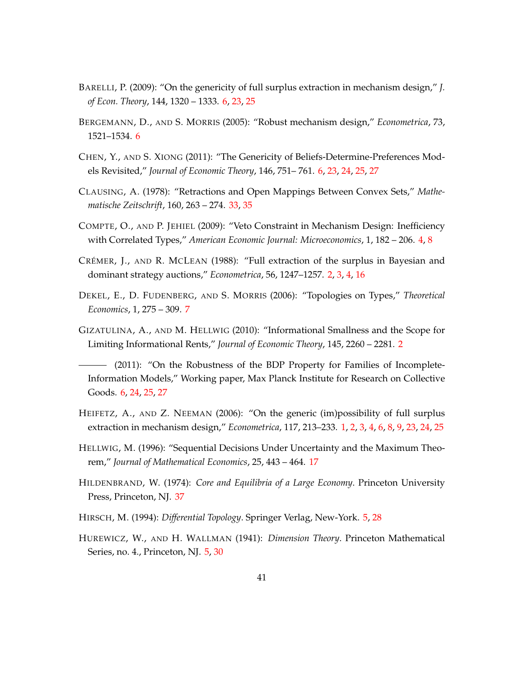- <span id="page-42-7"></span>BARELLI, P. (2009): "On the genericity of full surplus extraction in mechanism design," *J. of Econ. Theory*, 144, 1320 – 1333. [6,](#page-7-3) [23,](#page-24-2) [25](#page-26-2)
- <span id="page-42-9"></span>BERGEMANN, D., AND S. MORRIS (2005): "Robust mechanism design," *Econometrica*, 73, 1521–1534. [6](#page-7-3)
- <span id="page-42-8"></span>CHEN, Y., AND S. XIONG (2011): "The Genericity of Beliefs-Determine-Preferences Models Revisited," *Journal of Economic Theory*, 146, 751– 761. [6,](#page-7-3) [23,](#page-24-2) [24,](#page-25-0) [25,](#page-26-2) [27](#page-28-0)
- <span id="page-42-12"></span>CLAUSING, A. (1978): "Retractions and Open Mappings Between Convex Sets," *Mathematische Zeitschrift*, 160, 263 – 274. [33,](#page-34-3) [35](#page-36-6)
- <span id="page-42-3"></span>COMPTE, O., AND P. JEHIEL (2009): "Veto Constraint in Mechanism Design: Inefficiency with Correlated Types," *American Economic Journal: Microeconomics*, 1, 182 – 206. [4,](#page-5-1) [8](#page-9-1)
- <span id="page-42-1"></span>CRÉMER, J., AND R. MCLEAN (1988): "Full extraction of the surplus in Bayesian and dominant strategy auctions," *Econometrica*, 56, 1247–1257. [2,](#page-3-2) [3,](#page-4-1) [4,](#page-5-1) [16](#page-17-2)
- <span id="page-42-10"></span>DEKEL, E., D. FUDENBERG, AND S. MORRIS (2006): "Topologies on Types," *Theoretical Economics*, 1, 275 – 309. [7](#page-8-5)
- <span id="page-42-2"></span>GIZATULINA, A., AND M. HELLWIG (2010): "Informational Smallness and the Scope for Limiting Informational Rents," *Journal of Economic Theory*, 145, 2260 – 2281. [2](#page-3-2)
- <span id="page-42-6"></span>(2011): "On the Robustness of the BDP Property for Families of Incomplete-Information Models," Working paper, Max Planck Institute for Research on Collective Goods. [6,](#page-7-3) [24,](#page-25-0) [25,](#page-26-2) [27](#page-28-0)
- <span id="page-42-0"></span>HEIFETZ, A., AND Z. NEEMAN (2006): "On the generic (im)possibility of full surplus extraction in mechanism design," *Econometrica*, 117, 213–233. [1,](#page-2-0) [2,](#page-3-2) [3,](#page-4-1) [4,](#page-5-1) [6,](#page-7-3) [8,](#page-9-1) [9,](#page-10-3) [23,](#page-24-2) [24,](#page-25-0) [25](#page-26-2)
- <span id="page-42-11"></span>HELLWIG, M. (1996): "Sequential Decisions Under Uncertainty and the Maximum Theorem," *Journal of Mathematical Economics*, 25, 443 – 464. [17](#page-18-2)
- <span id="page-42-13"></span>HILDENBRAND, W. (1974): *Core and Equilibria of a Large Economy*. Princeton University Press, Princeton, NJ. [37](#page-38-2)
- <span id="page-42-5"></span>HIRSCH, M. (1994): *Differential Topology*. Springer Verlag, New-York. [5,](#page-6-1) [28](#page-29-0)
- <span id="page-42-4"></span>HUREWICZ, W., AND H. WALLMAN (1941): *Dimension Theory*. Princeton Mathematical Series, no. 4., Princeton, NJ. [5,](#page-6-1) [30](#page-31-4)